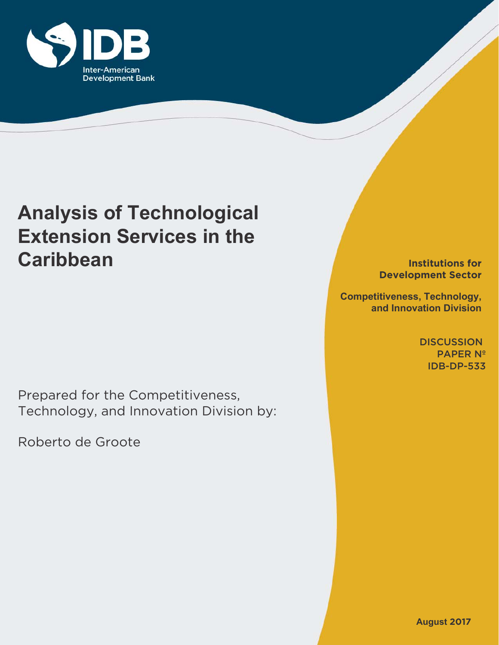

# **Analysis of Technological Extension Services in the Caribbean**

Prepared for the Competitiveness, Technology, and Innovation Division by:

Roberto de Groote

**Institutions for Development Sector**

**Competitiveness, Technology, and Innovation Division**

> **DISCUSSION** PAPER Nº IDB-DP-533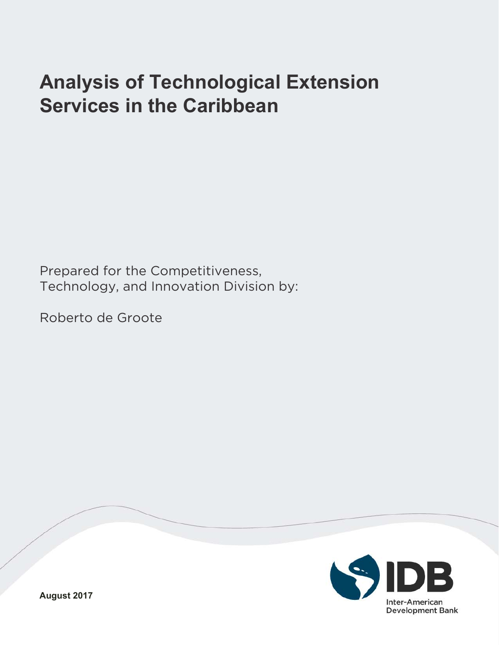# **Analysis of Technological Extension Services in the Caribbean**

Prepared for the Competitiveness, Technology, and Innovation Division by:

Roberto de Groote

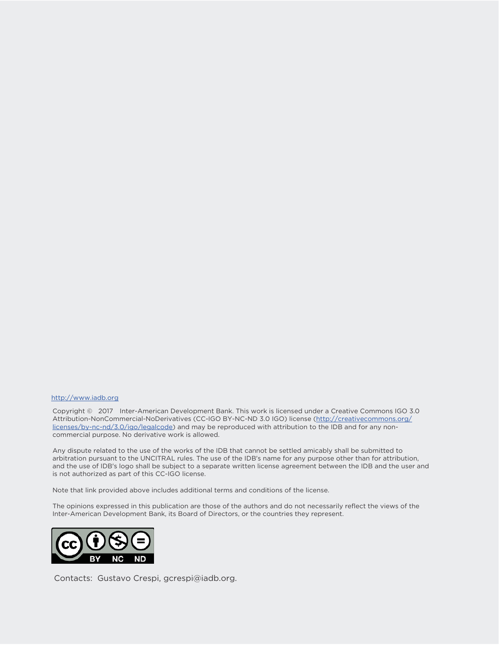#### http://www.iadb.org

Copyright © 2017 Inter-American Development Bank. This work is licensed under a Creative Commons IGO 3.0 Attribution-NonCommercial-NoDerivatives (CC-IGO BY-NC-ND 3.0 IGO) license (http://creativecommons.org/ licenses/by-nc-nd/3.0/igo/legalcode) and may be reproduced with attribution to the IDB and for any noncommercial purpose. No derivative work is allowed.

Any dispute related to the use of the works of the IDB that cannot be settled amicably shall be submitted to arbitration pursuant to the UNCITRAL rules. The use of the IDB's name for any purpose other than for attribution, and the use of IDB's logo shall be subject to a separate written license agreement between the IDB and the user and is not authorized as part of this CC-IGO license.

Note that link provided above includes additional terms and conditions of the license.

The opinions expressed in this publication are those of the authors and do not necessarily reflect the views of the Inter-American Development Bank, its Board of Directors, or the countries they represent.



Contacts: Gustavo Crespi, gcrespi@iadb.org.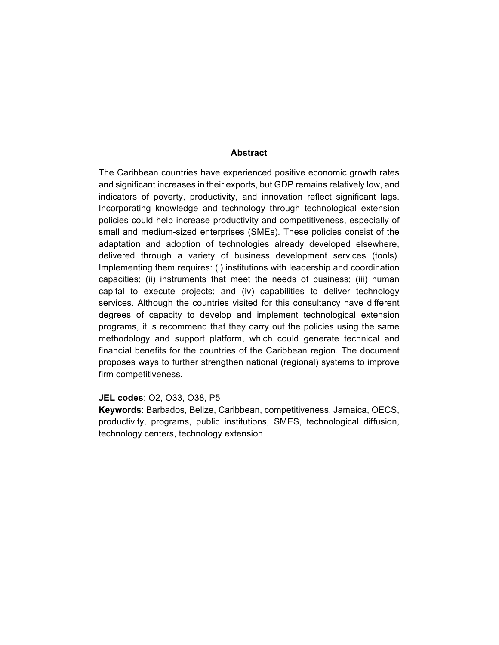#### **Abstract**

The Caribbean countries have experienced positive economic growth rates and significant increases in their exports, but GDP remains relatively low, and indicators of poverty, productivity, and innovation reflect significant lags. Incorporating knowledge and technology through technological extension policies could help increase productivity and competitiveness, especially of small and medium-sized enterprises (SMEs). These policies consist of the adaptation and adoption of technologies already developed elsewhere, delivered through a variety of business development services (tools). Implementing them requires: (i) institutions with leadership and coordination capacities; (ii) instruments that meet the needs of business; (iii) human capital to execute projects; and (iv) capabilities to deliver technology services. Although the countries visited for this consultancy have different degrees of capacity to develop and implement technological extension programs, it is recommend that they carry out the policies using the same methodology and support platform, which could generate technical and financial benefits for the countries of the Caribbean region. The document proposes ways to further strengthen national (regional) systems to improve firm competitiveness.

#### **JEL codes: O2, O33, O38, P5**

Keywords: Barbados, Belize, Caribbean, competitiveness, Jamaica, OECS, productivity, programs, public institutions, SMES, technological diffusion, technology centers, technology extension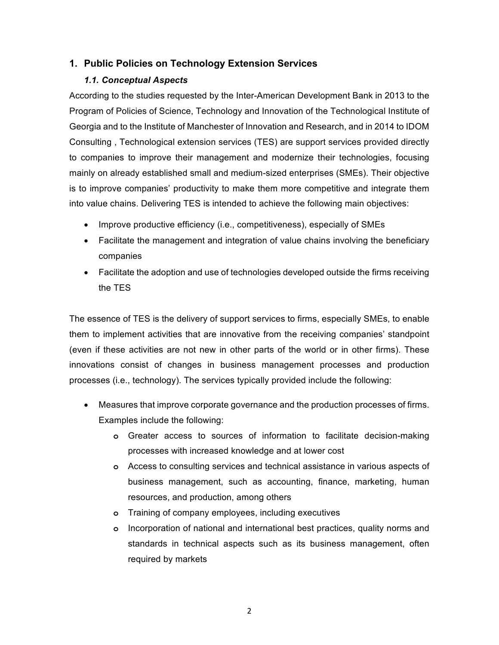# **1. Public!Policies!on Technology Extension Services**

## *1.1. Conceptual#Aspects*

According to the studies requested by the Inter-American Development Bank in 2013 to the Program of Policies of Science, Technology and Innovation of the Technological Institute of Georgia and to the Institute of Manchester of Innovation and Research, and in 2014 to IDOM Consulting, Technological extension services (TES) are support services provided directly to companies to improve their management and modernize their technologies, focusing mainly on already established small and medium-sized enterprises (SMEs). Their objective is to improve companies' productivity to make them more competitive and integrate them into value chains. Delivering TES is intended to achieve the following main objectives:

- Improve productive efficiency (i.e., competitiveness), especially of SMEs
- Facilitate the management and integration of value chains involving the beneficiary companies
- Facilitate the adoption and use of technologies developed outside the firms receiving the TES

The essence of TES is the delivery of support services to firms, especially SMEs, to enable them to implement activities that are innovative from the receiving companies' standpoint (even if these activities are not new in other parts of the world or in other firms). These innovations consist of changes in business management processes and production processes (i.e., technology). The services typically provided include the following:

- Measures that improve corporate governance and the production processes of firms. Examples include the following:
	- **o** Greater access to sources of information to facilitate decision-making processes with increased knowledge and at lower cost
	- **o** Access to consulting services and technical assistance in various aspects of business management, such as accounting, finance, marketing, human resources, and production, among others
	- **o** Training of company employees, including executives
	- **o** Incorporation of national and international best practices, quality norms and standards in technical aspects such as its business management, often required by markets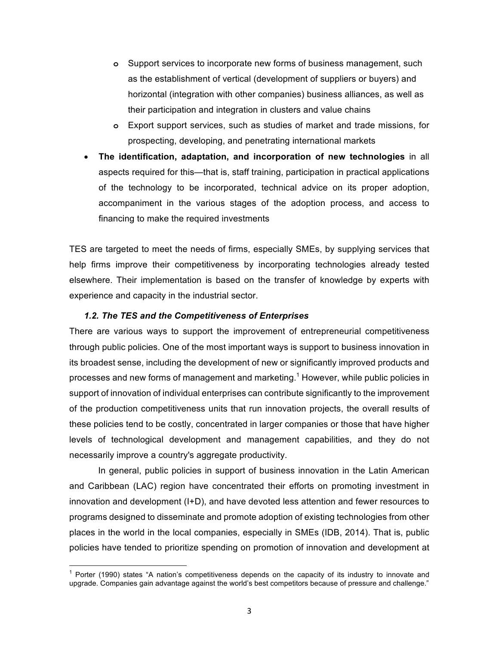- **o** Support services to incorporate new forms of business management, such as the establishment of vertical (development of suppliers or buyers) and horizontal (integration with other companies) business alliances, as well as their participation and integration in clusters and value chains
- **o** Export support services, such as studies of market and trade missions, for prospecting, developing, and penetrating international markets
- **The identification, adaptation, and incorporation of new technologies** in all aspects required for this—that is, staff training, participation in practical applications of the technology to be incorporated, technical advice on its proper adoption, accompaniment in the various stages of the adoption process, and access to financing to make the required investments

TES are targeted to meet the needs of firms, especially SMEs, by supplying services that help firms improve their competitiveness by incorporating technologies already tested elsewhere. Their implementation is based on the transfer of knowledge by experts with experience and capacity in the industrial sector.

#### **1.2. The TES and the Competitiveness of Enterprises**

There are various ways to support the improvement of entrepreneurial competitiveness through public policies. One of the most important ways is support to business innovation in its broadest sense, including the development of new or significantly improved products and processes and new forms of management and marketing.<sup>1</sup> However, while public policies in support of innovation of individual enterprises can contribute significantly to the improvement of the production competitiveness units that run innovation projects, the overall results of these policies tend to be costly, concentrated in larger companies or those that have higher levels of technological development and management capabilities, and they do not necessarily improve a country's aggregate productivity.

In general, public policies in support of business innovation in the Latin American and Caribbean (LAC) region have concentrated their efforts on promoting investment in innovation and development (I+D), and have devoted less attention and fewer resources to programs designed to disseminate and promote adoption of existing technologies from other places in the world in the local companies, especially in SMEs (IDB, 2014). That is, public policies have tended to prioritize spending on promotion of innovation and development at

Porter (1990) states "A nation's competitiveness depends on the capacity of its industry to innovate and upgrade. Companies gain advantage against the world's best competitors because of pressure and challenge."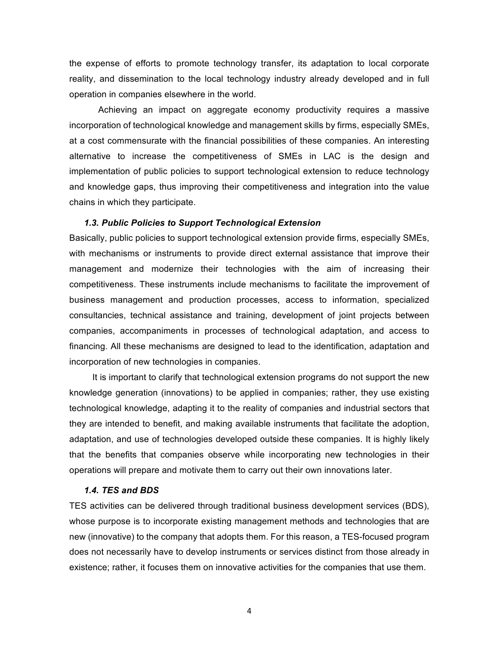the expense of efforts to promote technology transfer, its adaptation to local corporate reality, and dissemination to the local technology industry already developed and in full operation in companies elsewhere in the world.

Achieving an impact on aggregate economy productivity requires a massive incorporation of technological knowledge and management skills by firms, especially SMEs, at a cost commensurate with the financial possibilities of these companies. An interesting alternative to increase the competitiveness of SMEs in LAC is the design and implementation of public policies to support technological extension to reduce technology and knowledge gaps, thus improving their competitiveness and integration into the value chains in which they participate.

#### **1.3. Public Policies to Support Technological Extension**

Basically, public policies to support technological extension provide firms, especially SMEs, with mechanisms or instruments to provide direct external assistance that improve their management and modernize their technologies with the aim of increasing their competitiveness. These instruments include mechanisms to facilitate the improvement of business management and production processes, access to information, specialized consultancies, technical assistance and training, development of joint projects between companies, accompaniments in processes of technological adaptation, and access to financing. All these mechanisms are designed to lead to the identification, adaptation and incorporation of new technologies in companies.

It is important to clarify that technological extension programs do not support the new knowledge generation (innovations) to be applied in companies; rather, they use existing technological knowledge, adapting it to the reality of companies and industrial sectors that they are intended to benefit, and making available instruments that facilitate the adoption, adaptation, and use of technologies developed outside these companies. It is highly likely that the benefits that companies observe while incorporating new technologies in their operations will prepare and motivate them to carry out their own innovations later.

#### *1.4. TES#and#BDS*

TES activities can be delivered through traditional business development services (BDS), whose purpose is to incorporate existing management methods and technologies that are new (innovative) to the company that adopts them. For this reason, a TES-focused program does not necessarily have to develop instruments or services distinct from those already in existence; rather, it focuses them on innovative activities for the companies that use them.

4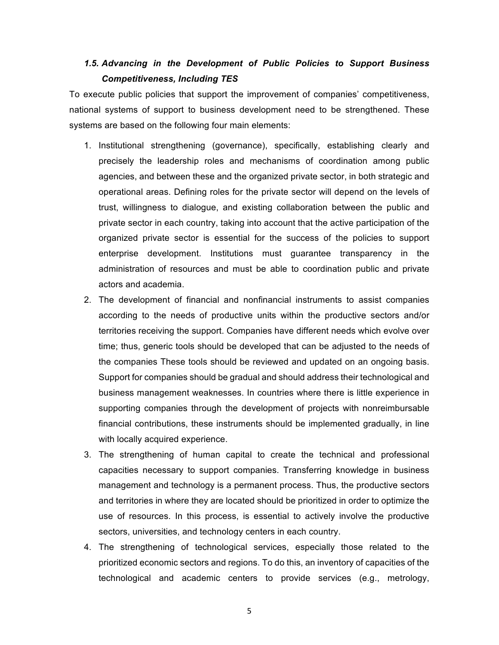# *1.5. Advancing in# the# Development# of# Public# Policies# to# Support# Business#* **Competitiveness, Including TES**

To execute public policies that support the improvement of companies' competitiveness, national systems of support to business development need to be strengthened. These systems are based on the following four main elements:

- 1. Institutional strengthening (governance), specifically, establishing clearly and precisely the leadership roles and mechanisms of coordination among public agencies, and between these and the organized private sector, in both strategic and operational areas. Defining roles for the private sector will depend on the levels of trust, willingness to dialogue, and existing collaboration between the public and private sector in each country, taking into account that the active participation of the organized private sector is essential for the success of the policies to support enterprise development. Institutions must guarantee transparency in the administration of resources and must be able to coordination public and private actors and academia.
- 2. The development of financial and nonfinancial instruments to assist companies according to the needs of productive units within the productive sectors and/or territories receiving the support. Companies have different needs which evolve over time; thus, generic tools should be developed that can be adjusted to the needs of the companies These tools should be reviewed and updated on an ongoing basis. Support for companies should be gradual and should address their technological and business management weaknesses. In countries where there is little experience in supporting companies through the development of projects with nonreimbursable financial contributions, these instruments should be implemented gradually, in line with locally acquired experience.
- 3. The strengthening of human capital to create the technical and professional capacities necessary to support companies. Transferring knowledge in business management and technology is a permanent process. Thus, the productive sectors and territories in where they are located should be prioritized in order to optimize the use of resources. In this process, is essential to actively involve the productive sectors, universities, and technology centers in each country.
- 4. The strengthening of technological services, especially those related to the prioritized economic sectors and regions. To do this, an inventory of capacities of the  $technological and academic centers to provide services  $(e.g.,\ metric)$$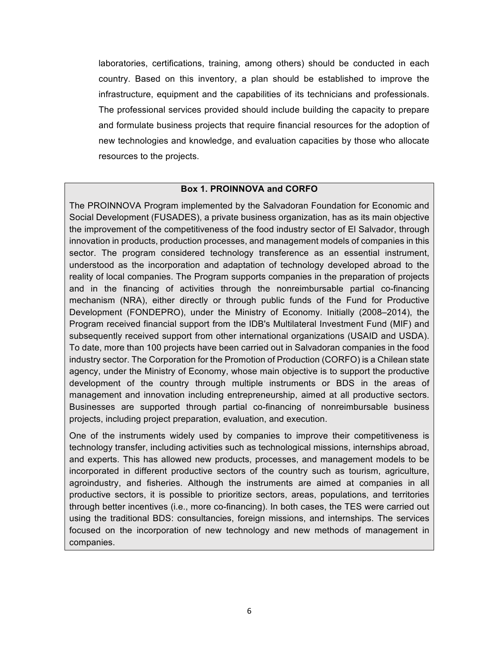laboratories, certifications, training, among others) should be conducted in each country. Based on this inventory, a plan should be established to improve the infrastructure, equipment and the capabilities of its technicians and professionals. The professional services provided should include building the capacity to prepare and formulate business projects that require financial resources for the adoption of new technologies and knowledge, and evaluation capacities by those who allocate resources to the projects.

## **Box 1. PROINNOVA and CORFO**

The PROINNOVA Program implemented by the Salvadoran Foundation for Economic and Social Development (FUSADES), a private business organization, has as its main objective the improvement of the competitiveness of the food industry sector of El Salvador, through innovation in products, production processes, and management models of companies in this sector. The program considered technology transference as an essential instrument, understood as the incorporation and adaptation of technology developed abroad to the reality of local companies. The Program supports companies in the preparation of projects and in the financing of activities through the nonreimbursable partial co-financing mechanism (NRA), either directly or through public funds of the Fund for Productive Development (FONDEPRO), under the Ministry of Economy. Initially (2008–2014), the Program received financial support from the IDB's Multilateral Investment Fund (MIF) and subsequently received support from other international organizations (USAID and USDA). To date, more than 100 projects have been carried out in Salvadoran companies in the food industry sector. The Corporation for the Promotion of Production (CORFO) is a Chilean state agency, under the Ministry of Economy, whose main objective is to support the productive development of the country through multiple instruments or BDS in the areas of management and innovation including entrepreneurship, aimed at all productive sectors. Businesses are supported through partial co-financing of nonreimbursable business projects, including project preparation, evaluation, and execution.

One of the instruments widely used by companies to improve their competitiveness is technology transfer, including activities such as technological missions, internships abroad, and experts. This has allowed new products, processes, and management models to be incorporated in different productive sectors of the country such as tourism, agriculture, agroindustry, and fisheries. Although the instruments are aimed at companies in all productive sectors, it is possible to prioritize sectors, areas, populations, and territories through better incentives (i.e., more co-financing). In both cases, the TES were carried out using the traditional BDS: consultancies, foreign missions, and internships. The services focused on the incorporation of new technology and new methods of management in companies.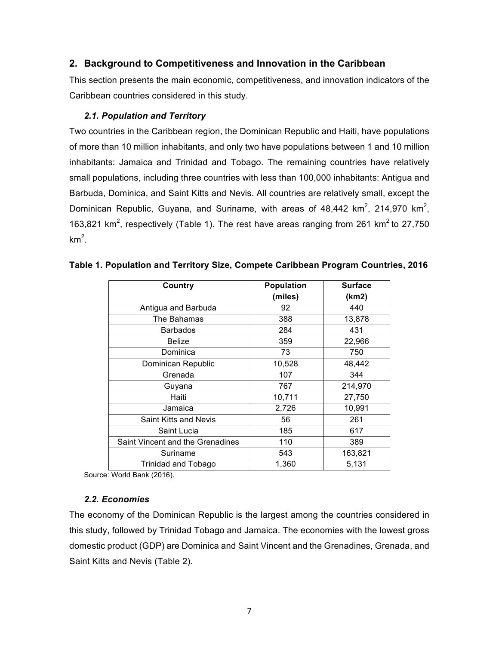# **2. Background to Competitiveness and Innovation in the Caribbean**

This section presents the main economic, competitiveness, and innovation indicators of the Caribbean countries considered in this study.

## *2.1. Population#and#Territory*

Two countries in the Caribbean region, the Dominican Republic and Haiti, have populations of more than 10 million inhabitants, and only two have populations between 1 and 10 million inhabitants: Jamaica and Trinidad and Tobago. The remaining countries have relatively small populations, including three countries with less than 100,000 inhabitants: Antigua and Barbuda, Dominica, and Saint Kitts and Nevis. All countries are relatively small, except the Dominican Republic, Guyana, and Suriname, with areas of  $48,442$  km<sup>2</sup>, 214,970 km<sup>2</sup>, 163,821  $km^2$ , respectively (Table 1). The rest have areas ranging from 261  $km^2$  to 27,750  $km<sup>2</sup>$ .

| Country                          | <b>Population</b> | <b>Surface</b> |
|----------------------------------|-------------------|----------------|
|                                  | (miles)           | (km2)          |
| Antigua and Barbuda              | 92                | 440            |
| The Bahamas                      | 388               | 13,878         |
| <b>Barbados</b>                  | 284               | 431            |
| <b>Belize</b>                    | 359               | 22,966         |
| Dominica                         | 73                | 750            |
| Dominican Republic               | 10,528            | 48,442         |
| Grenada                          | 107               | 344            |
| Guyana                           | 767               | 214,970        |
| Haiti                            | 10,711            | 27,750         |
| Jamaica                          | 2,726             | 10,991         |
| Saint Kitts and Nevis            | 56                | 261            |
| Saint Lucia                      | 185               | 617            |
| Saint Vincent and the Grenadines | 110               | 389            |
| Suriname                         | 543               | 163,821        |
| <b>Trinidad and Tobago</b>       | 1,360             | 5,131          |

Table 1. Population and Territory Size, Compete Caribbean Program Countries, 2016

Source: World Bank (2016).

## *2.2. Economies*

The economy of the Dominican Republic is the largest among the countries considered in this study, followed by Trinidad Tobago and Jamaica. The economies with the lowest gross domestic product (GDP) are Dominica and Saint Vincent and the Grenadines, Grenada, and Saint Kitts and Nevis (Table 2).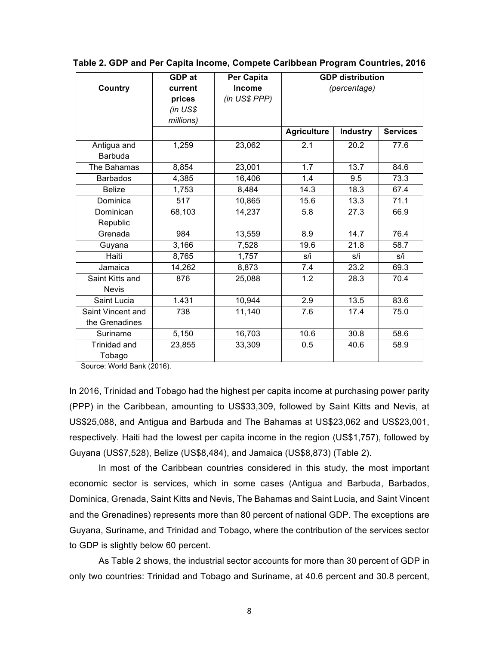|                   | GDP at     | Per Capita    |                    | <b>GDP</b> distribution |                 |
|-------------------|------------|---------------|--------------------|-------------------------|-----------------|
| <b>Country</b>    | current    | <b>Income</b> |                    | (percentage)            |                 |
|                   | prices     | (in US\$ PPP) |                    |                         |                 |
|                   | $(in$ US\$ |               |                    |                         |                 |
|                   | millions)  |               |                    |                         |                 |
|                   |            |               | <b>Agriculture</b> | <b>Industry</b>         | <b>Services</b> |
| Antigua and       | 1,259      | 23,062        | 2.1                | 20.2                    | 77.6            |
| <b>Barbuda</b>    |            |               |                    |                         |                 |
| The Bahamas       | 8,854      | 23,001        | 1.7                | 13.7                    | 84.6            |
| <b>Barbados</b>   | 4,385      | 16,406        | 1.4                | 9.5                     | 73.3            |
| <b>Belize</b>     | 1,753      | 8,484         | 14.3               | 18.3                    | 67.4            |
| Dominica          | 517        | 10,865        | 15.6               | 13.3                    | 71.1            |
| Dominican         | 68,103     | 14,237        | 5.8                | 27.3                    | 66.9            |
| Republic          |            |               |                    |                         |                 |
| Grenada           | 984        | 13,559        | 8.9                | 14.7                    | 76.4            |
| Guyana            | 3,166      | 7,528         | 19.6               | 21.8                    | 58.7            |
| Haiti             | 8,765      | 1,757         | s/i                | s/i                     | s/i             |
| Jamaica           | 14,262     | 8,873         | 7.4                | 23.2                    | 69.3            |
| Saint Kitts and   | 876        | 25,088        | 1.2                | 28.3                    | 70.4            |
| <b>Nevis</b>      |            |               |                    |                         |                 |
| Saint Lucia       | 1.431      | 10,944        | 2.9                | 13.5                    | 83.6            |
| Saint Vincent and | 738        | 11,140        | 7.6                | 17.4                    | 75.0            |
| the Grenadines    |            |               |                    |                         |                 |
| Suriname          | 5,150      | 16,703        | 10.6               | 30.8                    | 58.6            |
| Trinidad and      | 23,855     | 33,309        | 0.5                | 40.6                    | 58.9            |
| Tobago            |            |               |                    |                         |                 |

#### Table 2. GDP and Per Capita Income, Compete Caribbean Program Countries, 2016

Source: World Bank (2016).

In 2016, Trinidad and Tobago had the highest per capita income at purchasing power parity (PPP) in the Caribbean, amounting to US\$33,309, followed by Saint Kitts and Nevis, at US\$25,088, and Antigua and Barbuda and The Bahamas at US\$23,062 and US\$23,001, respectively. Haiti had the lowest per capita income in the region (US\$1,757), followed by Guyana (US\$7,528), Belize (US\$8,484), and Jamaica (US\$8,873) (Table 2).

In most of the Caribbean countries considered in this study, the most important economic sector is services, which in some cases (Antigua and Barbuda, Barbados, Dominica, Grenada, Saint Kitts and Nevis, The Bahamas and Saint Lucia, and Saint Vincent and the Grenadines) represents more than 80 percent of national GDP. The exceptions are Guyana, Suriname, and Trinidad and Tobago, where the contribution of the services sector to GDP is slightly below 60 percent.

As Table 2 shows, the industrial sector accounts for more than 30 percent of GDP in only two countries: Trinidad and Tobago and Suriname, at 40.6 percent and 30.8 percent,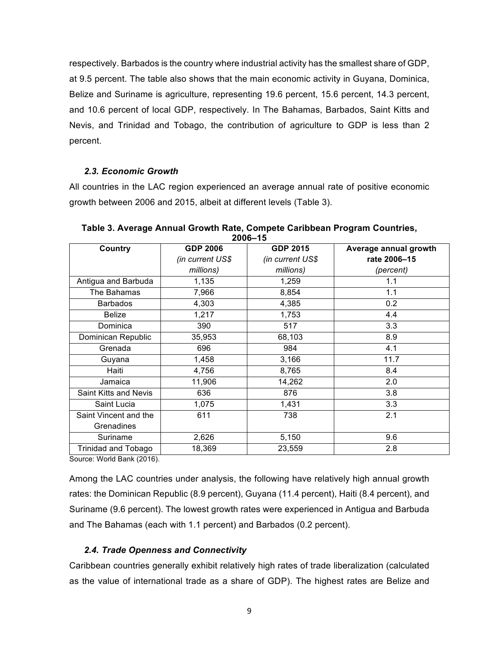respectively. Barbados is the country where industrial activity has the smallest share of GDP, at 9.5 percent. The table also shows that the main economic activity in Guyana, Dominica, Belize and Suriname is agriculture, representing 19.6 percent, 15.6 percent, 14.3 percent, and 10.6 percent of local GDP, respectively. In The Bahamas, Barbados, Saint Kitts and Nevis, and Trinidad and Tobago, the contribution of agriculture to GDP is less than 2 percent.

## *2.3. Economic#Growth*

All countries in the LAC region experienced an average annual rate of positive economic growth between 2006 and 2015, albeit at different levels (Table 3).

| Country               | <b>GDP 2006</b>  | <b>GDP 2015</b>  | Average annual growth |
|-----------------------|------------------|------------------|-----------------------|
|                       | (in current US\$ | (in current US\$ | rate 2006-15          |
|                       | millions)        | millions)        | (percent)             |
| Antigua and Barbuda   | 1,135            | 1,259            | 1.1                   |
| The Bahamas           | 7,966            | 8,854            | 1.1                   |
| <b>Barbados</b>       | 4,303            | 4,385            | 0.2                   |
| <b>Belize</b>         | 1,217            | 1,753            | 4.4                   |
| Dominica              | 390              | 517              | 3.3                   |
| Dominican Republic    | 35,953           | 68,103           | 8.9                   |
| Grenada               | 696              | 984              | 4.1                   |
| Guyana                | 1,458            | 3,166            | 11.7                  |
| Haiti                 | 4,756            | 8,765            | 8.4                   |
| Jamaica               | 11,906           | 14,262           | 2.0                   |
| Saint Kitts and Nevis | 636              | 876              | 3.8                   |
| Saint Lucia           | 1,075            | 1,431            | 3.3                   |
| Saint Vincent and the | 611              | 738              | 2.1                   |
| Grenadines            |                  |                  |                       |
| Suriname              | 2,626            | 5,150            | 9.6                   |
| Trinidad and Tobago   | 18,369           | 23,559           | 2.8                   |

**Table 3. Average Annual Growth Rate, Compete Caribbean Program Countries, 2006–15**

Source: World Bank (2016).

Among the LAC countries under analysis, the following have relatively high annual growth rates: the Dominican Republic (8.9 percent), Guyana (11.4 percent), Haiti (8.4 percent), and Suriname (9.6 percent). The lowest growth rates were experienced in Antigua and Barbuda and The Bahamas (each with 1.1 percent) and Barbados (0.2 percent).

## *2.4. Trade#Openness#and#Connectivity*

Caribbean countries generally exhibit relatively high rates of trade liberalization (calculated as the value of international trade as a share of GDP). The highest rates are Belize and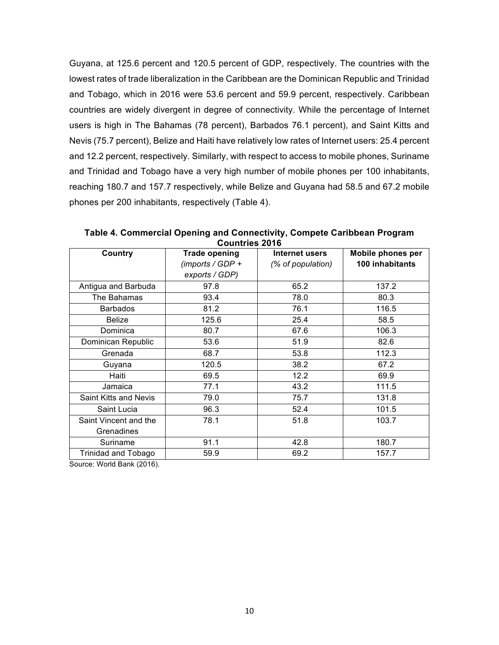Guyana, at 125.6 percent and 120.5 percent of GDP, respectively. The countries with the lowest rates of trade liberalization in the Caribbean are the Dominican Republic and Trinidad and Tobago, which in 2016 were 53.6 percent and 59.9 percent, respectively. Caribbean countries are widely divergent in degree of connectivity. While the percentage of Internet users is high in The Bahamas (78 percent), Barbados 76.1 percent), and Saint Kitts and Nevis (75.7 percent), Belize and Haiti have relatively low rates of Internet users: 25.4 percent and 12.2 percent, respectively. Similarly, with respect to access to mobile phones, Suriname and Trinidad and Tobago have a very high number of mobile phones per 100 inhabitants, reaching 180.7 and 157.7 respectively, while Belize and Guyana had 58.5 and 67.2 mobile phones per 200 inhabitants, respectively (Table 4).

**Table 4. Commercial Opening and Connectivity, Compete Caribbean Program** Countries 2016

| Country               | <b>Trade opening</b> | Internet users    | Mobile phones per |
|-----------------------|----------------------|-------------------|-------------------|
|                       |                      |                   | 100 inhabitants   |
|                       | (imports / GDP +     | (% of population) |                   |
|                       | exports / GDP)       |                   |                   |
| Antigua and Barbuda   | 97.8                 | 65.2              | 137.2             |
| The Bahamas           | 93.4                 | 78.0              | 80.3              |
| <b>Barbados</b>       | 81.2                 | 76.1              | 116.5             |
| <b>Belize</b>         | 125.6                | 25.4              | 58.5              |
| Dominica              | 80.7                 | 67.6              | 106.3             |
| Dominican Republic    | 53.6                 | 51.9              | 82.6              |
| Grenada               | 68.7                 | 53.8              | 112.3             |
| Guyana                | 120.5                | 38.2              | 67.2              |
| Haiti                 | 69.5                 | 12.2              | 69.9              |
| Jamaica               | 77.1                 | 43.2              | 111.5             |
| Saint Kitts and Nevis | 79.0                 | 75.7              | 131.8             |
| Saint Lucia           | 96.3                 | 52.4              | 101.5             |
| Saint Vincent and the | 78.1                 | 51.8              | 103.7             |
| Grenadines            |                      |                   |                   |
| Suriname              | 91.1                 | 42.8              | 180.7             |
| Trinidad and Tobago   | 59.9                 | 69.2              | 157.7             |

Source: World Bank (2016).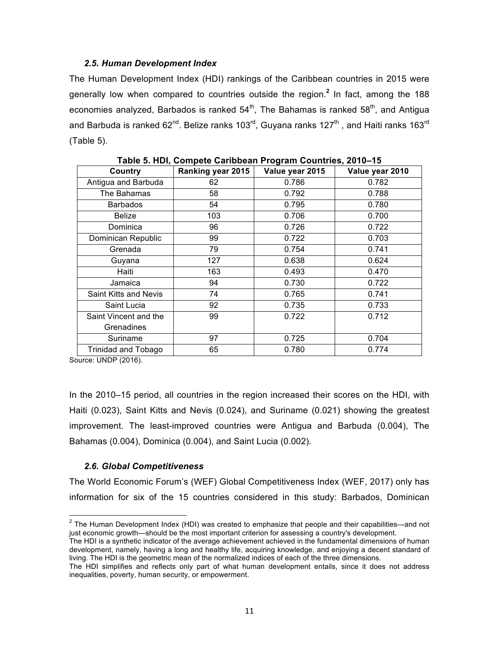## *2.5. Human#Development Index*

The Human Development Index (HDI) rankings of the Caribbean countries in 2015 were generally low when compared to countries outside the region.<sup>2</sup> In fact, among the 188 economies analyzed, Barbados is ranked  $54<sup>th</sup>$ , The Bahamas is ranked  $58<sup>th</sup>$ , and Antigua and Barbuda is ranked 62<sup>nd</sup>. Belize ranks 103<sup>rd</sup>, Guyana ranks 127<sup>th</sup>, and Haiti ranks 163<sup>rd</sup>  $(Table 5)$ .

| Country               | $1$ abic J. HDI, Odinpete Oaribbean I Togram Odditiles, Z010–13<br><b>Ranking year 2015</b> | Value year 2015 | Value year 2010 |
|-----------------------|---------------------------------------------------------------------------------------------|-----------------|-----------------|
| Antigua and Barbuda   | 62                                                                                          | 0.786           | 0.782           |
| The Bahamas           | 58                                                                                          | 0.792           | 0.788           |
| <b>Barbados</b>       | 54                                                                                          | 0.795           | 0.780           |
| Belize                | 103                                                                                         | 0.706           | 0.700           |
| Dominica              | 96                                                                                          | 0.726           | 0.722           |
| Dominican Republic    | 99                                                                                          | 0.722           | 0.703           |
| Grenada               | 79                                                                                          | 0.754           | 0.741           |
| Guyana                | 127                                                                                         | 0.638           | 0.624           |
| Haiti                 | 163                                                                                         | 0.493           | 0.470           |
| Jamaica               | 94                                                                                          | 0.730           | 0.722           |
| Saint Kitts and Nevis | 74                                                                                          | 0.765           | 0.741           |
| Saint Lucia           | 92                                                                                          | 0.735           | 0.733           |
| Saint Vincent and the | 99                                                                                          | 0.722           | 0.712           |
| Grenadines            |                                                                                             |                 |                 |
| Suriname              | 97                                                                                          | 0.725           | 0.704           |
| Trinidad and Tobago   | 65                                                                                          | 0.780           | 0.774           |

**Table!5.!HDI,!Compete!Caribbean!Program!Countries,!2010–15**

Source: UNDP (2016).

In the 2010–15 period, all countries in the region increased their scores on the HDI, with Haiti  $(0.023)$ , Saint Kitts and Nevis  $(0.024)$ , and Suriname  $(0.021)$  showing the greatest improvement. The least-improved countries were Antigua and Barbuda (0.004), The Bahamas (0.004), Dominica (0.004), and Saint Lucia (0.002).

## *2.6. Global#Competitiveness*

The World Economic Forum's (WEF) Global Competitiveness Index (WEF, 2017) only has information for six of the 15 countries considered in this study: Barbados, Dominican

 $2$  The Human Development Index (HDI) was created to emphasize that people and their capabilities—and not just economic growth—should be the most important criterion for assessing a country's development.

The HDI is a synthetic indicator of the average achievement achieved in the fundamental dimensions of human development, namely, having a long and healthy life, acquiring knowledge, and enjoying a decent standard of living. The HDI is the geometric mean of the normalized indices of each of the three dimensions.

The HDI simplifies and reflects only part of what human development entails, since it does not address inequalities, poverty, human security, or empowerment.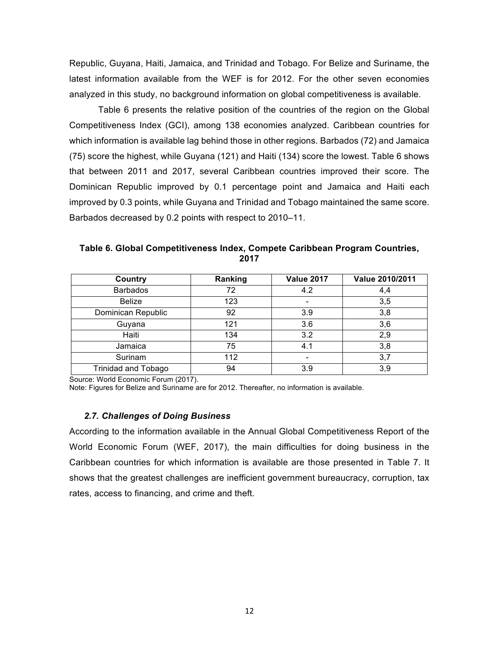Republic, Guyana, Haiti, Jamaica, and Trinidad and Tobago. For Belize and Suriname, the latest information available from the WEF is for 2012. For the other seven economies analyzed in this study, no background information on global competitiveness is available.

Table 6 presents the relative position of the countries of the region on the Global Competitiveness Index (GCI), among 138 economies analyzed. Caribbean countries for which information is available lag behind those in other regions. Barbados (72) and Jamaica  $(75)$  score the highest, while Guyana  $(121)$  and Haiti  $(134)$  score the lowest. Table 6 shows that between 2011 and 2017, several Caribbean countries improved their score. The Dominican Republic improved by 0.1 percentage point and Jamaica and Haiti each improved by 0.3 points, while Guyana and Trinidad and Tobago maintained the same score. Barbados decreased by 0.2 points with respect to 2010–11.

Table 6. Global Competitiveness Index, Compete Caribbean Program Countries, **2017**

| Country                    | Ranking | <b>Value 2017</b> | Value 2010/2011 |
|----------------------------|---------|-------------------|-----------------|
| <b>Barbados</b>            | 72      | 4.2               | 4,4             |
| <b>Belize</b>              | 123     |                   | 3,5             |
| Dominican Republic         | 92      | 3.9               | 3,8             |
| Guyana                     | 121     | 3.6               | 3,6             |
| Haiti                      | 134     | 3.2               | 2,9             |
| Jamaica                    | 75      | 4.1               | 3,8             |
| Surinam                    | 112     | -                 | 3,7             |
| <b>Trinidad and Tobago</b> | 94      | 3.9               | 3,9             |

Source: World Economic Forum (2017).

Note: Figures for Belize and Suriname are for 2012. Thereafter, no information is available.

## *2.7. Challenges#of Doing#Business*

According to the information available in the Annual Global Competitiveness Report of the World Economic Forum (WEF, 2017), the main difficulties for doing business in the Caribbean countries for which information is available are those presented in Table 7. It shows that the greatest challenges are inefficient government bureaucracy, corruption, tax rates, access to financing, and crime and theft.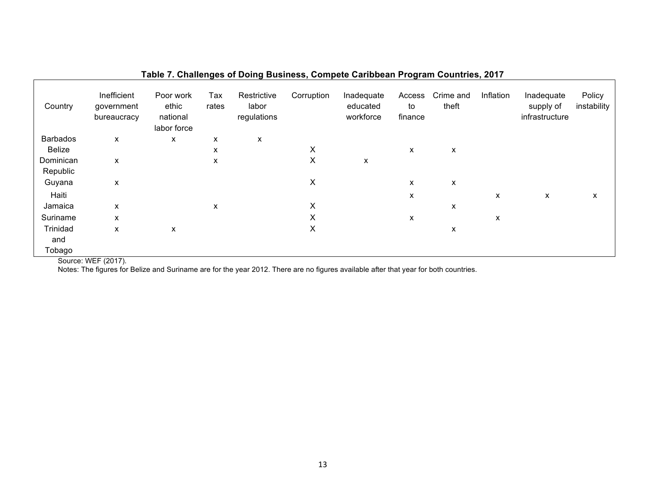|                 |                                          |                                               | - 3 - -      |                                     | –,         |                                     |                         | <u>- ສ. – –</u>    |           |                                           |                       |
|-----------------|------------------------------------------|-----------------------------------------------|--------------|-------------------------------------|------------|-------------------------------------|-------------------------|--------------------|-----------|-------------------------------------------|-----------------------|
| Country         | Inefficient<br>government<br>bureaucracy | Poor work<br>ethic<br>national<br>labor force | Tax<br>rates | Restrictive<br>labor<br>regulations | Corruption | Inadequate<br>educated<br>workforce | Access<br>to<br>finance | Crime and<br>theft | Inflation | Inadequate<br>supply of<br>infrastructure | Policy<br>instability |
| <b>Barbados</b> | X                                        | x                                             | x            | X                                   |            |                                     |                         |                    |           |                                           |                       |
| Belize          |                                          |                                               | X            |                                     | X          |                                     | X                       | X                  |           |                                           |                       |
| Dominican       | X                                        |                                               | X            |                                     | X          | X                                   |                         |                    |           |                                           |                       |
| Republic        |                                          |                                               |              |                                     |            |                                     |                         |                    |           |                                           |                       |
| Guyana          | X                                        |                                               |              |                                     | X          |                                     | x                       | X                  |           |                                           |                       |
| Haiti           |                                          |                                               |              |                                     |            |                                     | X                       |                    | x         | X                                         | X                     |
| Jamaica         | X                                        |                                               | X            |                                     | X          |                                     |                         | X                  |           |                                           |                       |
| Suriname        | X                                        |                                               |              |                                     | X          |                                     | X                       |                    | X         |                                           |                       |
| Trinidad        | X                                        | x                                             |              |                                     | X          |                                     |                         | X                  |           |                                           |                       |
| and             |                                          |                                               |              |                                     |            |                                     |                         |                    |           |                                           |                       |
| Tobago          | $\cdots$ $\cdots$ $\cdots$               |                                               |              |                                     |            |                                     |                         |                    |           |                                           |                       |

## **Table 7. Challenges of Doing Business, Compete Caribbean Program Countries, 2017**

Source: WEF (2017).

Notes: The figures for Belize and Suriname are for the year 2012. There are no figures available after that year for both countries.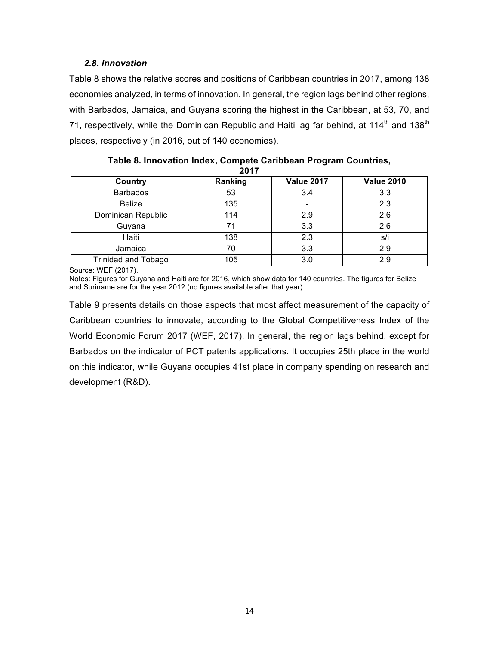## *2.8. Innovation*

Table 8 shows the relative scores and positions of Caribbean countries in 2017, among 138 economies analyzed, in terms of innovation. In general, the region lags behind other regions, with Barbados, Jamaica, and Guyana scoring the highest in the Caribbean, at 53, 70, and 71, respectively, while the Dominican Republic and Haiti lag far behind, at 114<sup>th</sup> and 138<sup>th</sup> places, respectively (in 2016, out of 140 economies).

| 49 I I                     |         |                   |                   |  |  |  |
|----------------------------|---------|-------------------|-------------------|--|--|--|
| Country                    | Ranking | <b>Value 2017</b> | <b>Value 2010</b> |  |  |  |
| <b>Barbados</b>            | 53      | 3.4               | 3.3               |  |  |  |
| <b>Belize</b>              | 135     | $\qquad \qquad$   | 2.3               |  |  |  |
| Dominican Republic         | 114     | 2.9               | 2.6               |  |  |  |
| Guyana                     | 71      | 3.3               | 2,6               |  |  |  |
| Haiti                      | 138     | 2.3               | s/i               |  |  |  |
| Jamaica                    | 70      | 3.3               | 2.9               |  |  |  |
| <b>Trinidad and Tobago</b> | 105     | 3.0               | 2.9               |  |  |  |

Table 8. Innovation Index, Compete Caribbean Program Countries, **2017**

Source: WEF (2017).

Notes: Figures for Guyana and Haiti are for 2016, which show data for 140 countries. The figures for Belize and Suriname are for the year 2012 (no figures available after that year).

Table 9 presents details on those aspects that most affect measurement of the capacity of Caribbean countries to innovate, according to the Global Competitiveness Index of the World Economic Forum 2017 (WEF, 2017). In general, the region lags behind, except for Barbados on the indicator of PCT patents applications. It occupies 25th place in the world on this indicator, while Guyana occupies 41st place in company spending on research and development (R&D).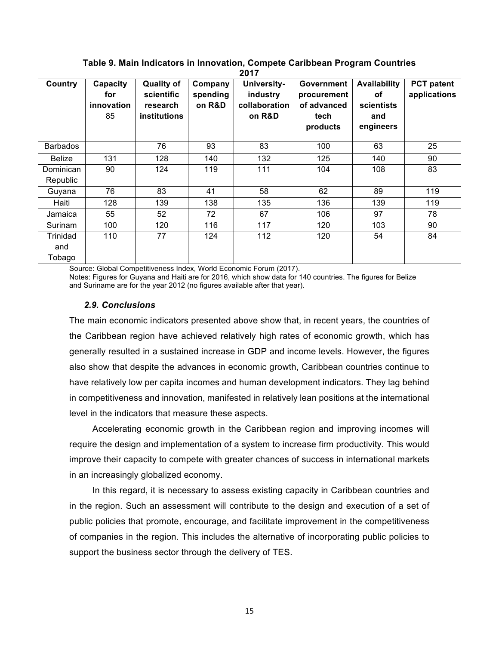| Country                   | Capacity<br>for<br>innovation<br>85 | <b>Quality of</b><br>scientific<br>research<br>institutions | Company<br>spending<br>on R&D | University-<br>industry<br>collaboration<br>on R&D | <b>Government</b><br>procurement<br>of advanced<br>tech<br>products | <b>Availability</b><br>оf<br>scientists<br>and<br>engineers | <b>PCT</b> patent<br>applications |
|---------------------------|-------------------------------------|-------------------------------------------------------------|-------------------------------|----------------------------------------------------|---------------------------------------------------------------------|-------------------------------------------------------------|-----------------------------------|
| <b>Barbados</b>           |                                     | 76                                                          | 93                            | 83                                                 | 100                                                                 | 63                                                          | 25                                |
| <b>Belize</b>             | 131                                 | 128                                                         | 140                           | 132                                                | 125                                                                 | 140                                                         | 90                                |
| Dominican<br>Republic     | 90                                  | 124                                                         | 119                           | 111                                                | 104                                                                 | 108                                                         | 83                                |
| Guyana                    | 76                                  | 83                                                          | 41                            | 58                                                 | 62                                                                  | 89                                                          | 119                               |
| Haiti                     | 128                                 | 139                                                         | 138                           | 135                                                | 136                                                                 | 139                                                         | 119                               |
| Jamaica                   | 55                                  | 52                                                          | 72                            | 67                                                 | 106                                                                 | 97                                                          | 78                                |
| Surinam                   | 100                                 | 120                                                         | 116                           | 117                                                | 120                                                                 | 103                                                         | 90                                |
| Trinidad<br>and<br>Tobago | 110                                 | 77                                                          | 124                           | 112                                                | 120                                                                 | 54                                                          | 84                                |

Table 9. Main Indicators in Innovation, Compete Caribbean Program Countries **2017**

Source: Global Competitiveness Index, World Economic Forum (2017).

Notes: Figures for Guyana and Haiti are for 2016, which show data for 140 countries. The figures for Belize and Suriname are for the year 2012 (no figures available after that year).

#### *2.9. Conclusions*

The main economic indicators presented above show that, in recent years, the countries of the Caribbean region have achieved relatively high rates of economic growth, which has generally resulted in a sustained increase in GDP and income levels. However, the figures also show that despite the advances in economic growth, Caribbean countries continue to have relatively low per capita incomes and human development indicators. They lag behind in competitiveness and innovation, manifested in relatively lean positions at the international level in the indicators that measure these aspects.

Accelerating economic growth in the Caribbean region and improving incomes will require the design and implementation of a system to increase firm productivity. This would improve their capacity to compete with greater chances of success in international markets in an increasingly globalized economy.

In this regard, it is necessary to assess existing capacity in Caribbean countries and in the region. Such an assessment will contribute to the design and execution of a set of public policies that promote, encourage, and facilitate improvement in the competitiveness of companies in the region. This includes the alternative of incorporating public policies to support the business sector through the delivery of TES.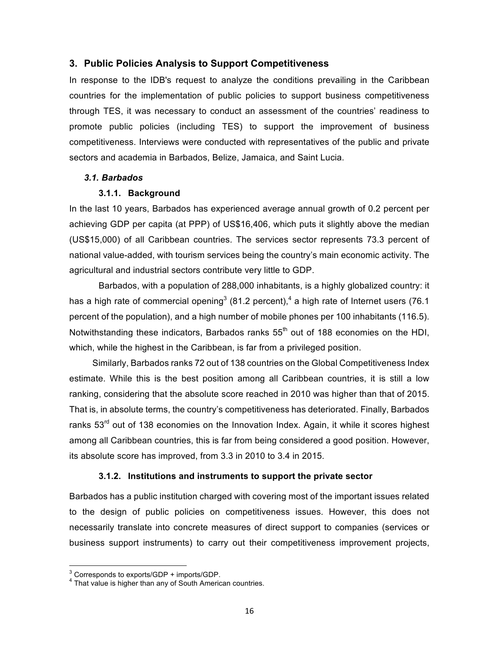## **3. Public Policies Analysis to Support Competitiveness**

In response to the IDB's request to analyze the conditions prevailing in the Caribbean countries for the implementation of public policies to support business competitiveness through TES, it was necessary to conduct an assessment of the countries' readiness to promote public policies (including TES) to support the improvement of business competitiveness. Interviews were conducted with representatives of the public and private sectors and academia in Barbados, Belize, Jamaica, and Saint Lucia.

## *3.1. Barbados*

## **3.1.1. Background**

In the last 10 years, Barbados has experienced average annual growth of 0.2 percent per achieving GDP per capita (at PPP) of US\$16,406, which puts it slightly above the median (US\$15,000) of all Caribbean countries. The services sector represents 73.3 percent of national value-added, with tourism services being the country's main economic activity. The agricultural and industrial sectors contribute very little to GDP.

Barbados, with a population of 288,000 inhabitants, is a highly globalized country: it has a high rate of commercial opening<sup>3</sup> (81.2 percent),<sup>4</sup> a high rate of Internet users (76.1) percent of the population), and a high number of mobile phones per 100 inhabitants (116.5). Notwithstanding these indicators, Barbados ranks 55<sup>th</sup> out of 188 economies on the HDI, which, while the highest in the Caribbean, is far from a privileged position.

Similarly, Barbados ranks 72 out of 138 countries on the Global Competitiveness Index estimate. While this is the best position among all Caribbean countries, it is still a low ranking, considering that the absolute score reached in 2010 was higher than that of 2015. That is, in absolute terms, the country's competitiveness has deteriorated. Finally, Barbados ranks  $53<sup>rd</sup>$  out of 138 economies on the Innovation Index. Again, it while it scores highest among all Caribbean countries, this is far from being considered a good position. However, its absolute score has improved, from 3.3 in 2010 to 3.4 in 2015.

## **3.1.2. Institutions and instruments to support the private sector**

Barbados has a public institution charged with covering most of the important issues related to the design of public policies on competitiveness issues. However, this does not necessarily translate into concrete measures of direct support to companies (services or business support instruments) to carry out their competitiveness improvement projects,

 $3$  Corresponds to exports/GDP + imports/GDP.<br> $4$  That value is higher than any of South American countries.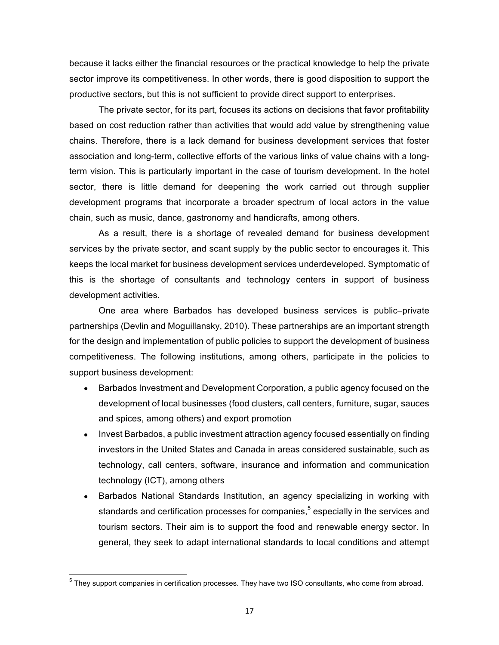because it lacks either the financial resources or the practical knowledge to help the private sector improve its competitiveness. In other words, there is good disposition to support the productive sectors, but this is not sufficient to provide direct support to enterprises.

The private sector, for its part, focuses its actions on decisions that favor profitability based on cost reduction rather than activities that would add value by strengthening value chains. Therefore, there is a lack demand for business development services that foster association and long-term, collective efforts of the various links of value chains with a longterm vision. This is particularly important in the case of tourism development. In the hotel sector, there is little demand for deepening the work carried out through supplier development programs that incorporate a broader spectrum of local actors in the value chain, such as music, dance, gastronomy and handicrafts, among others.

As a result, there is a shortage of revealed demand for business development services by the private sector, and scant supply by the public sector to encourages it. This keeps the local market for business development services underdeveloped. Symptomatic of this is the shortage of consultants and technology centers in support of business development activities.

One area where Barbados has developed business services is public-private partnerships (Devlin and Moguillansky, 2010). These partnerships are an important strength for the design and implementation of public policies to support the development of business competitiveness. The following institutions, among others, participate in the policies to support business development:

- Barbados Investment and Development Corporation, a public agency focused on the development of local businesses (food clusters, call centers, furniture, sugar, sauces and spices, among others) and export promotion
- Invest Barbados, a public investment attraction agency focused essentially on finding investors in the United States and Canada in areas considered sustainable, such as technology, call centers, software, insurance and information and communication technology (ICT), among others
- Barbados National Standards Institution, an agency specializing in working with standards and certification processes for companies,<sup>5</sup> especially in the services and tourism sectors. Their aim is to support the food and renewable energy sector. In general, they seek to adapt international standards to local conditions and attempt

 $<sup>5</sup>$  Thev support companies in certification processes. They have two ISO consultants, who come from abroad.</sup>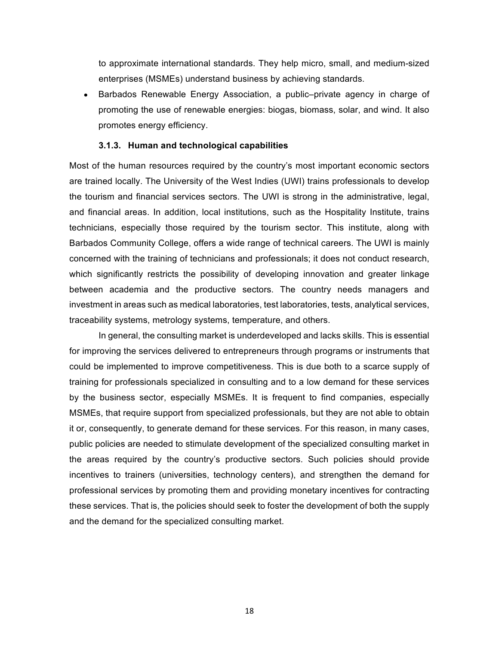to approximate international standards. They help micro, small, and medium-sized enterprises (MSMEs) understand business by achieving standards.

Barbados Renewable Energy Association, a public–private agency in charge of promoting the use of renewable energies: biogas, biomass, solar, and wind. It also promotes energy efficiency.

## **3.1.3. Human and technological capabilities**

Most of the human resources required by the country's most important economic sectors are trained locally. The University of the West Indies (UWI) trains professionals to develop the tourism and financial services sectors. The UWI is strong in the administrative, legal, and financial areas. In addition, local institutions, such as the Hospitality Institute, trains technicians, especially those required by the tourism sector. This institute, along with Barbados Community College, offers a wide range of technical careers. The UWI is mainly concerned with the training of technicians and professionals; it does not conduct research, which significantly restricts the possibility of developing innovation and greater linkage between academia and the productive sectors. The country needs managers and investment in areas such as medical laboratories, test laboratories, tests, analytical services, traceability systems, metrology systems, temperature, and others.

In general, the consulting market is underdeveloped and lacks skills. This is essential for improving the services delivered to entrepreneurs through programs or instruments that could be implemented to improve competitiveness. This is due both to a scarce supply of training for professionals specialized in consulting and to a low demand for these services by the business sector, especially MSMEs. It is frequent to find companies, especially MSMEs, that require support from specialized professionals, but they are not able to obtain it or, consequently, to generate demand for these services. For this reason, in many cases, public policies are needed to stimulate development of the specialized consulting market in the areas required by the country's productive sectors. Such policies should provide incentives to trainers (universities, technology centers), and strengthen the demand for professional services by promoting them and providing monetary incentives for contracting these services. That is, the policies should seek to foster the development of both the supply and the demand for the specialized consulting market.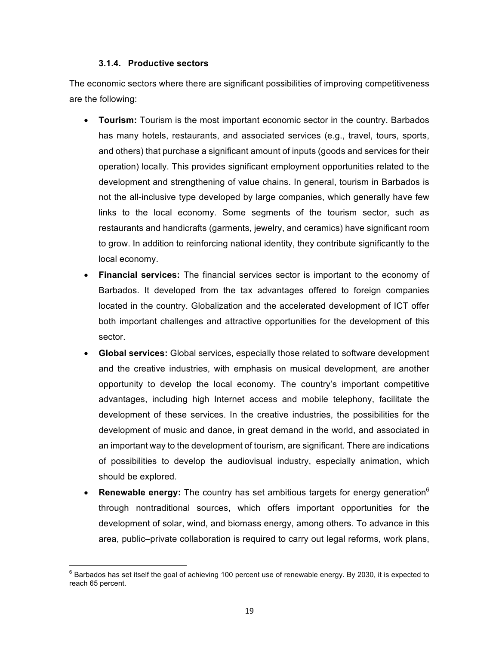## **3.1.4. Productive&sectors**

The economic sectors where there are significant possibilities of improving competitiveness are the following:

- **Tourism:** Tourism is the most important economic sector in the country. Barbados has many hotels, restaurants, and associated services (e.g., travel, tours, sports, and others) that purchase a significant amount of inputs (goods and services for their operation) locally. This provides significant employment opportunities related to the development and strengthening of value chains. In general, tourism in Barbados is not the all-inclusive type developed by large companies, which generally have few links to the local economy. Some segments of the tourism sector, such as restaurants and handicrafts (garments, jewelry, and ceramics) have significant room to grow. In addition to reinforcing national identity, they contribute significantly to the local economy.
- **Financial services:** The financial services sector is important to the economy of Barbados. It developed from the tax advantages offered to foreign companies located in the country. Globalization and the accelerated development of ICT offer both important challenges and attractive opportunities for the development of this sector.
- **Global services:** Global services, especially those related to software development and the creative industries, with emphasis on musical development, are another opportunity to develop the local economy. The country's important competitive advantages, including high Internet access and mobile telephony, facilitate the development of these services. In the creative industries, the possibilities for the development of music and dance, in great demand in the world, and associated in an important way to the development of tourism, are significant. There are indications of possibilities to develop the audiovisual industry, especially animation, which should be explored.
- **Renewable energy:** The country has set ambitious targets for energy generation<sup>6</sup> through nontraditional sources, which offers important opportunities for the development of solar, wind, and biomass energy, among others. To advance in this area, public–private collaboration is required to carry out legal reforms, work plans,

 $6$  Barbados has set itself the goal of achieving 100 percent use of renewable energy. By 2030, it is expected to reach 65 percent.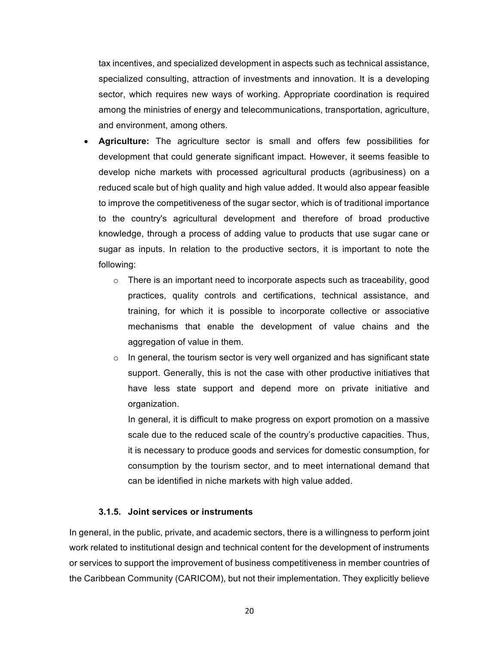tax incentives, and specialized development in aspects such as technical assistance, specialized consulting, attraction of investments and innovation. It is a developing sector, which requires new ways of working. Appropriate coordination is required among the ministries of energy and telecommunications, transportation, agriculture, and environment, among others.

- **Agriculture:** The agriculture sector is small and offers few possibilities for development that could generate significant impact. However, it seems feasible to develop niche markets with processed agricultural products (agribusiness) on a reduced scale but of high quality and high value added. It would also appear feasible to improve the competitiveness of the sugar sector, which is of traditional importance to the country's agricultural development and therefore of broad productive knowledge, through a process of adding value to products that use sugar cane or sugar as inputs. In relation to the productive sectors, it is important to note the following:
	- $\circ$  There is an important need to incorporate aspects such as traceability, good practices, quality controls and certifications, technical assistance, and training, for which it is possible to incorporate collective or associative mechanisms that enable the development of value chains and the aggregation of value in them.
	- $\circ$  In general, the tourism sector is very well organized and has significant state support. Generally, this is not the case with other productive initiatives that have less state support and depend more on private initiative and organization.

In general, it is difficult to make progress on export promotion on a massive scale due to the reduced scale of the country's productive capacities. Thus, it is necessary to produce goods and services for domestic consumption, for consumption by the tourism sector, and to meet international demand that can be identified in niche markets with high value added.

## **3.1.5.** Joint services or instruments

In general, in the public, private, and academic sectors, there is a willingness to perform joint work related to institutional design and technical content for the development of instruments or services to support the improvement of business competitiveness in member countries of the Caribbean Community (CARICOM), but not their implementation. They explicitly believe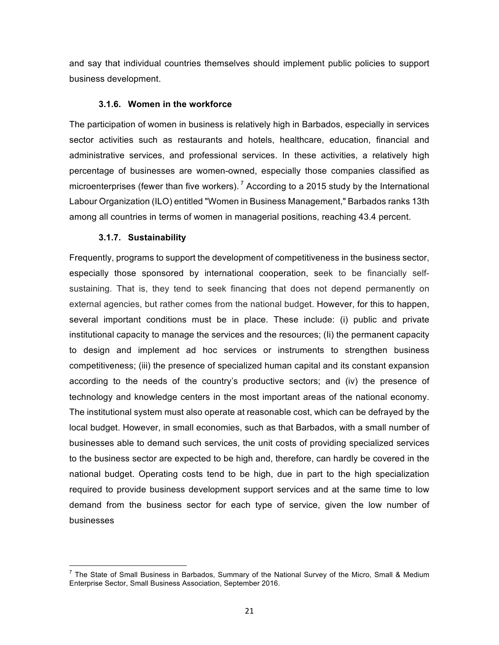and say that individual countries themselves should implement public policies to support business development.

## **3.1.6. Women in the workforce**

The participation of women in business is relatively high in Barbados, especially in services sector activities such as restaurants and hotels, healthcare, education, financial and administrative services, and professional services. In these activities, a relatively high percentage of businesses are women-owned, especially those companies classified as microenterprises (fewer than five workers).<sup>7</sup> According to a 2015 study by the International Labour Organization (ILO) entitled "Women in Business Management," Barbados ranks 13th among all countries in terms of women in managerial positions, reaching 43.4 percent.

## **3.1.7. Sustainability**

Frequently, programs to support the development of competitiveness in the business sector, especially those sponsored by international cooperation, seek to be financially selfsustaining. That is, they tend to seek financing that does not depend permanently on external agencies, but rather comes from the national budget. However, for this to happen, several important conditions must be in place. These include: (i) public and private institutional capacity to manage the services and the resources; (Ii) the permanent capacity to design and implement ad hoc services or instruments to strengthen business competitiveness; (iii) the presence of specialized human capital and its constant expansion according to the needs of the country's productive sectors; and (iv) the presence of technology and knowledge centers in the most important areas of the national economy. The institutional system must also operate at reasonable cost, which can be defrayed by the local budget. However, in small economies, such as that Barbados, with a small number of businesses able to demand such services, the unit costs of providing specialized services to the business sector are expected to be high and, therefore, can hardly be covered in the national budget. Operating costs tend to be high, due in part to the high specialization required to provide business development support services and at the same time to low demand from the business sector for each type of service, given the low number of businesses

 $^7$  The State of Small Business in Barbados, Summary of the National Survey of the Micro, Small & Medium Enterprise Sector, Small Business Association, September 2016.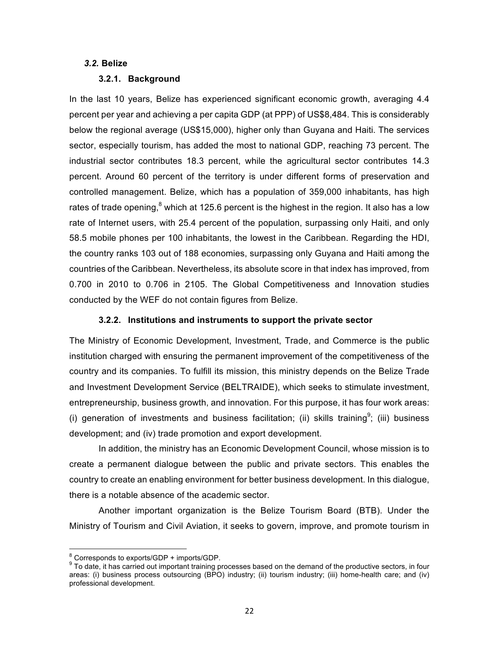## *3.2.* **Belize**

#### **3.2.1. Background**

In the last 10 years, Belize has experienced significant economic growth, averaging 4.4 percent per year and achieving a per capita GDP (at PPP) of US\$8,484. This is considerably below the regional average (US\$15,000), higher only than Guyana and Haiti. The services sector, especially tourism, has added the most to national GDP, reaching 73 percent. The industrial sector contributes 18.3 percent, while the agricultural sector contributes 14.3 percent. Around 60 percent of the territory is under different forms of preservation and controlled management. Belize, which has a population of 359,000 inhabitants, has high rates of trade opening, $^8$  which at 125.6 percent is the highest in the region. It also has a low rate of Internet users, with 25.4 percent of the population, surpassing only Haiti, and only 58.5 mobile phones per 100 inhabitants, the lowest in the Caribbean. Regarding the HDI, the country ranks 103 out of 188 economies, surpassing only Guyana and Haiti among the countries of the Caribbean. Nevertheless, its absolute score in that index has improved, from 0.700 in 2010 to 0.706 in 2105. The Global Competitiveness and Innovation studies conducted by the WEF do not contain figures from Belize.

#### **3.2.2.** Institutions and instruments to support the private sector

The Ministry of Economic Development, Investment, Trade, and Commerce is the public institution charged with ensuring the permanent improvement of the competitiveness of the country and its companies. To fulfill its mission, this ministry depends on the Belize Trade and Investment Development Service (BELTRAIDE), which seeks to stimulate investment, entrepreneurship, business growth, and innovation. For this purpose, it has four work areas: (i) generation of investments and business facilitation; (ii) skills training<sup>9</sup>; (iii) business development; and (iv) trade promotion and export development.

In addition, the ministry has an Economic Development Council, whose mission is to create a permanent dialogue between the public and private sectors. This enables the country to create an enabling environment for better business development. In this dialogue, there is a notable absence of the academic sector.

Another important organization is the Belize Tourism Board (BTB). Under the Ministry of Tourism and Civil Aviation, it seeks to govern, improve, and promote tourism in

 $\frac{8}{9}$  Corresponds to exports/GDP + imports/GDP.<br> $\frac{9}{9}$  To date, it has carried out important training processes based on the demand of the productive sectors, in four areas: (i) business process outsourcing (BPO) industry; (ii) tourism industry; (iii) home-health care; and (iv) professional development.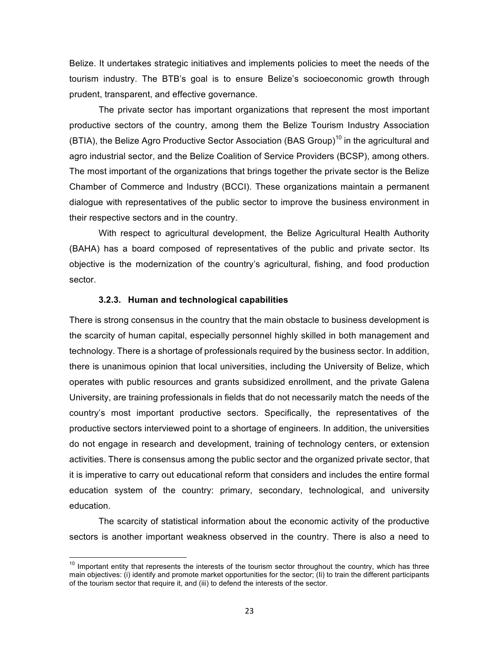Belize. It undertakes strategic initiatives and implements policies to meet the needs of the tourism industry. The BTB's goal is to ensure Belize's socioeconomic growth through prudent, transparent, and effective governance.

The private sector has important organizations that represent the most important productive sectors of the country, among them the Belize Tourism Industry Association (BTIA), the Belize Agro Productive Sector Association (BAS Group)<sup>10</sup> in the agricultural and agro industrial sector, and the Belize Coalition of Service Providers (BCSP), among others. The most important of the organizations that brings together the private sector is the Belize Chamber of Commerce and Industry (BCCI). These organizations maintain a permanent dialogue with representatives of the public sector to improve the business environment in their respective sectors and in the country.

With respect to agricultural development, the Belize Agricultural Health Authority (BAHA) has a board composed of representatives of the public and private sector. Its objective is the modernization of the country's agricultural, fishing, and food production sector.

## **3.2.3. Human and technological capabilities**

There is strong consensus in the country that the main obstacle to business development is the scarcity of human capital, especially personnel highly skilled in both management and technology. There is a shortage of professionals required by the business sector. In addition, there is unanimous opinion that local universities, including the University of Belize, which operates with public resources and grants subsidized enrollment, and the private Galena University, are training professionals in fields that do not necessarily match the needs of the country's most important productive sectors. Specifically, the representatives of the productive sectors interviewed point to a shortage of engineers. In addition, the universities do not engage in research and development, training of technology centers, or extension activities. There is consensus among the public sector and the organized private sector, that it is imperative to carry out educational reform that considers and includes the entire formal education system of the country: primary, secondary, technological, and university education.

The scarcity of statistical information about the economic activity of the productive sectors is another important weakness observed in the country. There is also a need to

 $10$  Important entity that represents the interests of the tourism sector throughout the country, which has three main objectives: (i) identify and promote market opportunities for the sector; (Ii) to train the different participants of the tourism sector that require it, and (iii) to defend the interests of the sector.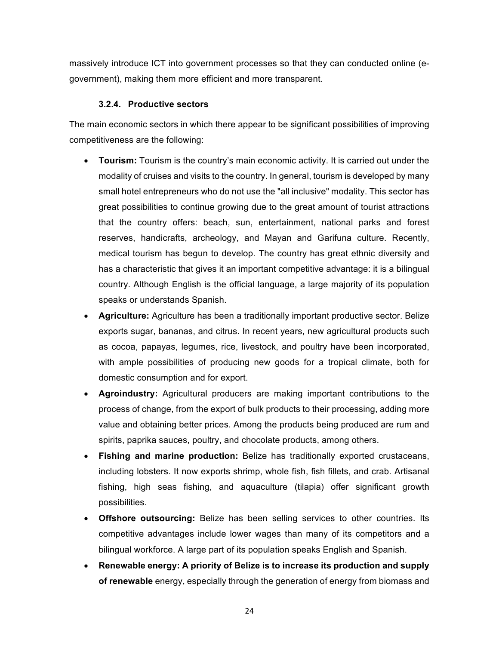massively introduce ICT into government processes so that they can conducted online (egovernment), making them more efficient and more transparent.

# **3.2.4. Productive&sectors**

The main economic sectors in which there appear to be significant possibilities of improving competitiveness are the following:

- **Tourism:** Tourism is the country's main economic activity. It is carried out under the modality of cruises and visits to the country. In general, tourism is developed by many small hotel entrepreneurs who do not use the "all inclusive" modality. This sector has great possibilities to continue growing due to the great amount of tourist attractions that the country offers: beach, sun, entertainment, national parks and forest reserves, handicrafts, archeology, and Mayan and Garifuna culture. Recently, medical tourism has begun to develop. The country has great ethnic diversity and has a characteristic that gives it an important competitive advantage: it is a bilingual country. Although English is the official language, a large majority of its population speaks or understands Spanish.
- **Agriculture:** Agriculture has been a traditionally important productive sector. Belize exports sugar, bananas, and citrus. In recent years, new agricultural products such as cocoa, papayas, legumes, rice, livestock, and poultry have been incorporated, with ample possibilities of producing new goods for a tropical climate, both for domestic consumption and for export.
- **Agroindustry:** Agricultural producers are making important contributions to the process of change, from the export of bulk products to their processing, adding more value and obtaining better prices. Among the products being produced are rum and spirits, paprika sauces, poultry, and chocolate products, among others.
- **Fishing and marine production:** Belize has traditionally exported crustaceans, including lobsters. It now exports shrimp, whole fish, fish fillets, and crab. Artisanal fishing, high seas fishing, and aquaculture (tilapia) offer significant growth possibilities.&
- **Offshore outsourcing:** Belize has been selling services to other countries. Its competitive advantages include lower wages than many of its competitors and a bilingual workforce. A large part of its population speaks English and Spanish.
- **Renewable energy: A priority of Belize is to increase its production and supply of renewable** energy, especially through the generation of energy from biomass and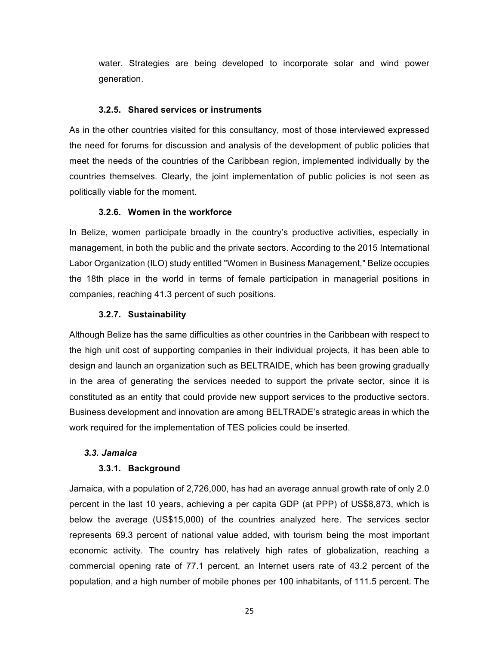water. Strategies are being developed to incorporate solar and wind power generation.

## **3.2.5.** Shared services or instruments

As in the other countries visited for this consultancy, most of those interviewed expressed the need for forums for discussion and analysis of the development of public policies that meet the needs of the countries of the Caribbean region, implemented individually by the countries themselves. Clearly, the joint implementation of public policies is not seen as politically viable for the moment.

## **3.2.6.** Women in the workforce

In Belize, women participate broadly in the country's productive activities, especially in management, in both the public and the private sectors. According to the 2015 International Labor Organization (ILO) study entitled "Women in Business Management," Belize occupies the 18th place in the world in terms of female participation in managerial positions in companies, reaching 41.3 percent of such positions.

## **3.2.7. Sustainability**

Although Belize has the same difficulties as other countries in the Caribbean with respect to the high unit cost of supporting companies in their individual projects, it has been able to design and launch an organization such as BELTRAIDE, which has been growing gradually in the area of generating the services needed to support the private sector, since it is constituted as an entity that could provide new support services to the productive sectors. Business development and innovation are among BELTRADE's strategic areas in which the work required for the implementation of TES policies could be inserted.

## *3.3. Jamaica*

## **3.3.1. Background**

Jamaica, with a population of  $2,726,000$ , has had an average annual growth rate of only 2.0 percent in the last 10 years, achieving a per capita GDP (at PPP) of US\$8,873, which is below the average (US\$15,000) of the countries analyzed here. The services sector represents 69.3 percent of national value added, with tourism being the most important economic activity. The country has relatively high rates of globalization, reaching a commercial opening rate of 77.1 percent, an Internet users rate of 43.2 percent of the population, and a high number of mobile phones per 100 inhabitants, of 111.5 percent. The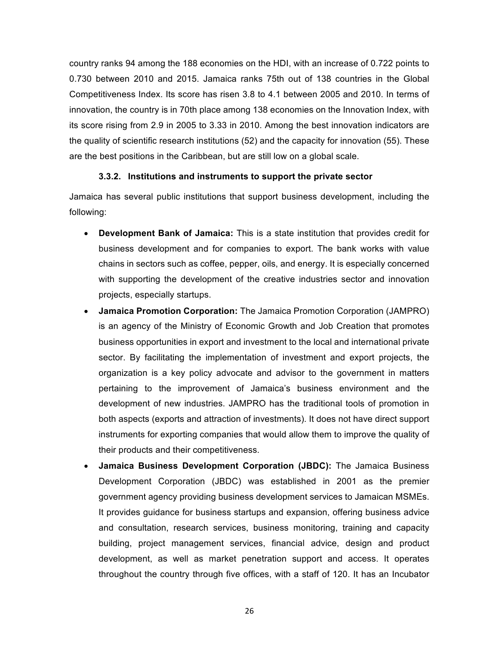country ranks 94 among the 188 economies on the HDI, with an increase of 0.722 points to 0.730 between 2010 and 2015. Jamaica ranks 75th out of 138 countries in the Global Competitiveness Index. Its score has risen 3.8 to 4.1 between 2005 and 2010. In terms of innovation, the country is in 70th place among 138 economies on the Innovation Index, with its score rising from 2.9 in 2005 to 3.33 in 2010. Among the best innovation indicators are the quality of scientific research institutions (52) and the capacity for innovation (55). These are the best positions in the Caribbean, but are still low on a global scale.

## **3.3.2.** Institutions and instruments to support the private sector

Jamaica has several public institutions that support business development, including the following:

- **Development Bank of Jamaica:** This is a state institution that provides credit for business development and for companies to export. The bank works with value chains in sectors such as coffee, pepper, oils, and energy. It is especially concerned with supporting the development of the creative industries sector and innovation projects, especially startups.
- **Jamaica Promotion Corporation:** The Jamaica Promotion Corporation (JAMPRO) is an agency of the Ministry of Economic Growth and Job Creation that promotes business opportunities in export and investment to the local and international private sector. By facilitating the implementation of investment and export projects, the organization is a key policy advocate and advisor to the government in matters pertaining to the improvement of Jamaica's business environment and the development of new industries. JAMPRO has the traditional tools of promotion in both aspects (exports and attraction of investments). It does not have direct support instruments for exporting companies that would allow them to improve the quality of their products and their competitiveness.
- **Jamaica Business Development Corporation (JBDC):** The Jamaica Business Development Corporation (JBDC) was established in 2001 as the premier government agency providing business development services to Jamaican MSMEs. It provides guidance for business startups and expansion, offering business advice and consultation, research services, business monitoring, training and capacity building, project management services, financial advice, design and product development, as well as market penetration support and access. It operates throughout the country through five offices, with a staff of 120. It has an Incubator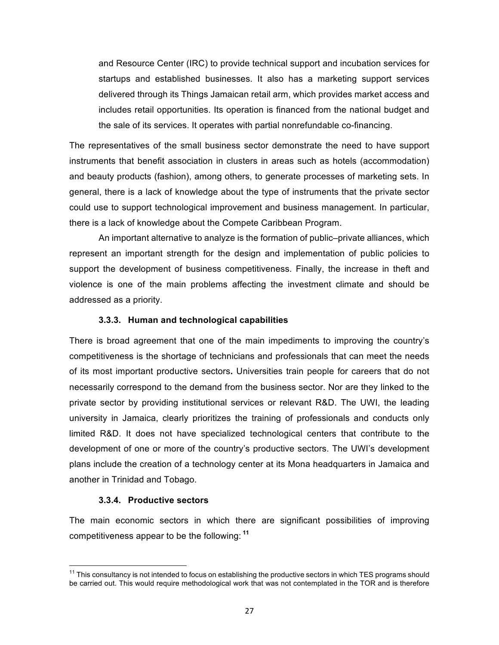and Resource Center (IRC) to provide technical support and incubation services for startups and established businesses. It also has a marketing support services delivered through its Things Jamaican retail arm, which provides market access and includes retail opportunities. Its operation is financed from the national budget and the sale of its services. It operates with partial nonrefundable co-financing.

The representatives of the small business sector demonstrate the need to have support instruments that benefit association in clusters in areas such as hotels (accommodation) and beauty products (fashion), among others, to generate processes of marketing sets. In general, there is a lack of knowledge about the type of instruments that the private sector could use to support technological improvement and business management. In particular, there is a lack of knowledge about the Compete Caribbean Program.

An important alternative to analyze is the formation of public–private alliances, which represent an important strength for the design and implementation of public policies to support the development of business competitiveness. Finally, the increase in theft and violence is one of the main problems affecting the investment climate and should be addressed as a priority.

#### **3.3.3. Human and technological capabilities**

There is broad agreement that one of the main impediments to improving the country's competitiveness is the shortage of technicians and professionals that can meet the needs of its most important productive sectors. Universities train people for careers that do not necessarily correspond to the demand from the business sector. Nor are they linked to the private sector by providing institutional services or relevant R&D. The UWI, the leading university in Jamaica, clearly prioritizes the training of professionals and conducts only limited R&D. It does not have specialized technological centers that contribute to the development of one or more of the country's productive sectors. The UWI's development plans include the creation of a technology center at its Mona headquarters in Jamaica and another in Trinidad and Tobago.

#### **3.3.4. Productive sectors**

The main economic sectors in which there are significant possibilities of improving competitiveness appear to be the following: <sup>11</sup>

 $11$  This consultancy is not intended to focus on establishing the productive sectors in which TES programs should be carried out. This would require methodological work that was not contemplated in the TOR and is therefore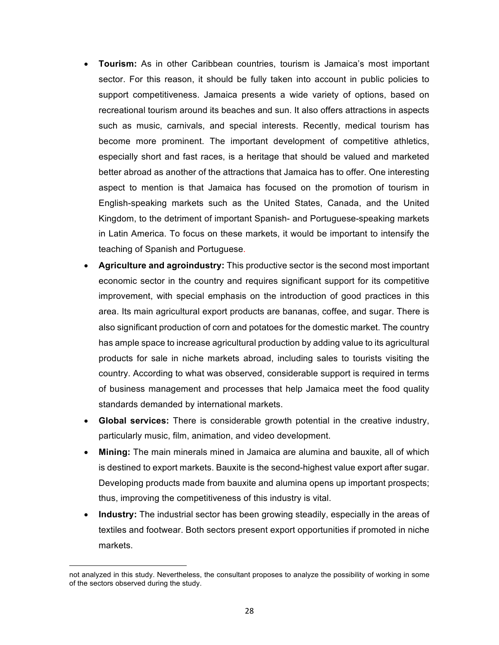- **Tourism:** As in other Caribbean countries, tourism is Jamaica's most important sector. For this reason, it should be fully taken into account in public policies to support competitiveness. Jamaica presents a wide variety of options, based on recreational tourism around its beaches and sun. It also offers attractions in aspects such as music, carnivals, and special interests. Recently, medical tourism has become more prominent. The important development of competitive athletics, especially short and fast races, is a heritage that should be valued and marketed better abroad as another of the attractions that Jamaica has to offer. One interesting aspect to mention is that Jamaica has focused on the promotion of tourism in English-speaking markets such as the United States, Canada, and the United Kingdom, to the detriment of important Spanish- and Portuguese-speaking markets in Latin America. To focus on these markets, it would be important to intensify the teaching of Spanish and Portuguese.
- **Agriculture and agroindustry:** This productive sector is the second most important economic sector in the country and requires significant support for its competitive improvement, with special emphasis on the introduction of good practices in this area. Its main agricultural export products are bananas, coffee, and sugar. There is also significant production of corn and potatoes for the domestic market. The country has ample space to increase agricultural production by adding value to its agricultural products for sale in niche markets abroad, including sales to tourists visiting the country. According to what was observed, considerable support is required in terms of business management and processes that help Jamaica meet the food quality standards demanded by international markets.
- **Global services:** There is considerable growth potential in the creative industry, particularly music, film, animation, and video development.
- **Mining:** The main minerals mined in Jamaica are alumina and bauxite, all of which is destined to export markets. Bauxite is the second-highest value export after sugar. Developing products made from bauxite and alumina opens up important prospects; thus, improving the competitiveness of this industry is vital.
- **Industry:** The industrial sector has been growing steadily, especially in the areas of textiles and footwear. Both sectors present export opportunities if promoted in niche markets.

!!!!!!!!!!!!!!!!!!!!!!!!!!!!!!!!!!!!!!!!!!!!!!!!!!!!!!!!!!!!

not analyzed in this study. Nevertheless, the consultant proposes to analyze the possibility of working in some of the sectors observed during the study.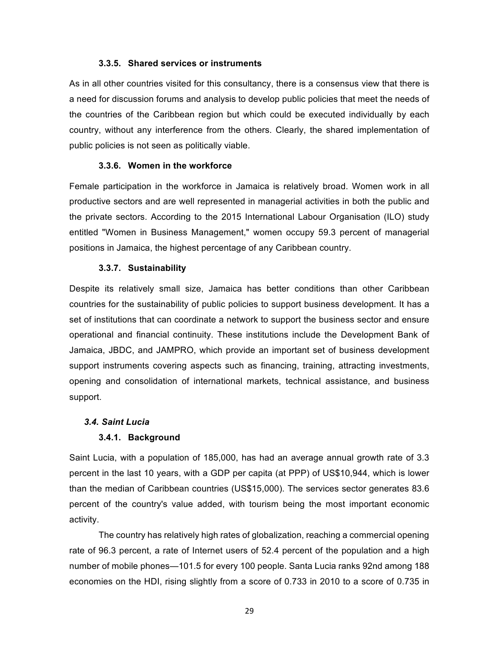#### **3.3.5. Shared services or instruments**

As in all other countries visited for this consultancy, there is a consensus view that there is a need for discussion forums and analysis to develop public policies that meet the needs of the countries of the Caribbean region but which could be executed individually by each country, without any interference from the others. Clearly, the shared implementation of public policies is not seen as politically viable.

#### **3.3.6.** Women in the workforce

Female participation in the workforce in Jamaica is relatively broad. Women work in all productive sectors and are well represented in managerial activities in both the public and the private sectors. According to the 2015 International Labour Organisation (ILO) study entitled "Women in Business Management," women occupy 59.3 percent of managerial positions in Jamaica, the highest percentage of any Caribbean country.

#### **3.3.7. Sustainability**

Despite its relatively small size, Jamaica has better conditions than other Caribbean countries for the sustainability of public policies to support business development. It has a set of institutions that can coordinate a network to support the business sector and ensure operational and financial continuity. These institutions include the Development Bank of Jamaica, JBDC, and JAMPRO, which provide an important set of business development support instruments covering aspects such as financing, training, attracting investments, opening and consolidation of international markets, technical assistance, and business support.

## *3.4. Saint\$Lucia*

## **3.4.1. Background**

Saint Lucia, with a population of 185,000, has had an average annual growth rate of 3.3 percent in the last 10 years, with a GDP per capita (at PPP) of US\$10,944, which is lower than the median of Caribbean countries (US\$15,000). The services sector generates 83.6 percent of the country's value added, with tourism being the most important economic activity.

The country has relatively high rates of globalization, reaching a commercial opening rate of 96.3 percent, a rate of Internet users of 52.4 percent of the population and a high number of mobile phones—101.5 for every 100 people. Santa Lucia ranks 92nd among 188 economies on the HDI, rising slightly from a score of 0.733 in 2010 to a score of 0.735 in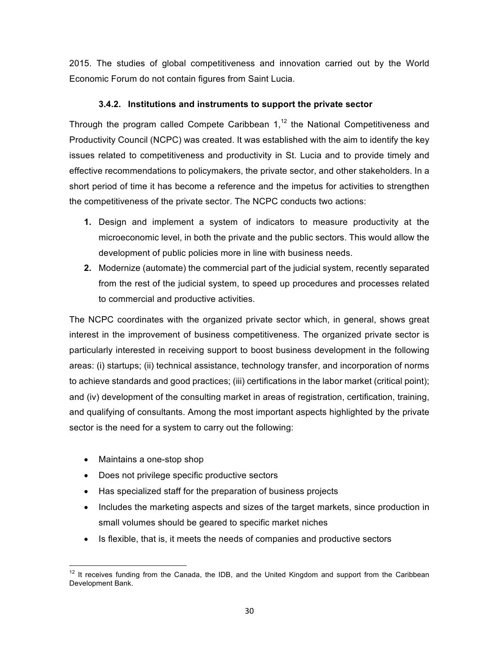2015. The studies of global competitiveness and innovation carried out by the World Economic Forum do not contain figures from Saint Lucia.

# **3.4.2.** Institutions and instruments to support the private sector

Through the program called Compete Caribbean  $1$ ,<sup>12</sup> the National Competitiveness and Productivity Council (NCPC) was created. It was established with the aim to identify the key issues related to competitiveness and productivity in St. Lucia and to provide timely and effective recommendations to policymakers, the private sector, and other stakeholders. In a short period of time it has become a reference and the impetus for activities to strengthen the competitiveness of the private sector. The NCPC conducts two actions:

- **1.** Design and implement a system of indicators to measure productivity at the microeconomic level, in both the private and the public sectors. This would allow the development of public policies more in line with business needs.
- **2.** Modernize (automate) the commercial part of the judicial system, recently separated from the rest of the judicial system, to speed up procedures and processes related to commercial and productive activities.

The NCPC coordinates with the organized private sector which, in general, shows great interest in the improvement of business competitiveness. The organized private sector is particularly interested in receiving support to boost business development in the following areas: (i) startups; (ii) technical assistance, technology transfer, and incorporation of norms to achieve standards and good practices; (iii) certifications in the labor market (critical point); and (iv) development of the consulting market in areas of registration, certification, training, and qualifying of consultants. Among the most important aspects highlighted by the private sector is the need for a system to carry out the following:

- $\bullet$  Maintains a one-stop shop
- Does not privilege specific productive sectors
- Has specialized staff for the preparation of business projects
- Includes the marketing aspects and sizes of the target markets, since production in small volumes should be geared to specific market niches
- Is flexible, that is, it meets the needs of companies and productive sectors

 $12$  It receives funding from the Canada, the IDB, and the United Kingdom and support from the Caribbean Development Bank.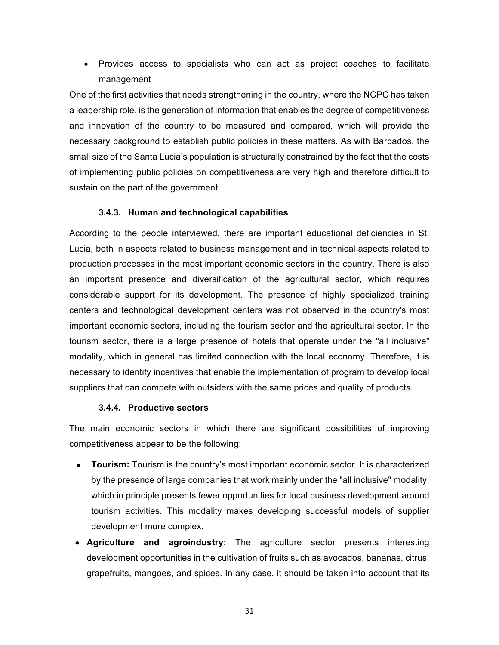• Provides access to specialists who can act as project coaches to facilitate management

One of the first activities that needs strengthening in the country, where the NCPC has taken a leadership role, is the generation of information that enables the degree of competitiveness and innovation of the country to be measured and compared, which will provide the necessary background to establish public policies in these matters. As with Barbados, the small size of the Santa Lucia's population is structurally constrained by the fact that the costs of implementing public policies on competitiveness are very high and therefore difficult to sustain on the part of the government.

## **3.4.3. Human and technological capabilities**

According to the people interviewed, there are important educational deficiencies in St. Lucia, both in aspects related to business management and in technical aspects related to production processes in the most important economic sectors in the country. There is also an important presence and diversification of the agricultural sector, which requires considerable support for its development. The presence of highly specialized training centers and technological development centers was not observed in the country's most important economic sectors, including the tourism sector and the agricultural sector. In the tourism sector, there is a large presence of hotels that operate under the "all inclusive" modality, which in general has limited connection with the local economy. Therefore, it is necessary to identify incentives that enable the implementation of program to develop local suppliers that can compete with outsiders with the same prices and quality of products.

## **3.4.4. Productive sectors**

The main economic sectors in which there are significant possibilities of improving competitiveness appear to be the following:

- **Tourism:** Tourism is the country's most important economic sector. It is characterized by the presence of large companies that work mainly under the "all inclusive" modality, which in principle presents fewer opportunities for local business development around tourism activities. This modality makes developing successful models of supplier development more complex.
- **Agriculture and agroindustry:** The agriculture sector presents interesting development opportunities in the cultivation of fruits such as avocados, bananas, citrus, grapefruits, mangoes, and spices. In any case, it should be taken into account that its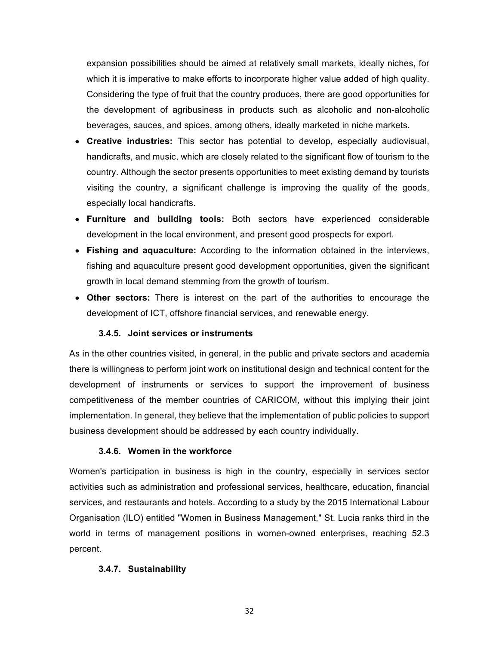expansion possibilities should be aimed at relatively small markets, ideally niches, for which it is imperative to make efforts to incorporate higher value added of high quality. Considering the type of fruit that the country produces, there are good opportunities for the development of agribusiness in products such as alcoholic and non-alcoholic beverages, sauces, and spices, among others, ideally marketed in niche markets.

- **Creative industries:** This sector has potential to develop, especially audiovisual, handicrafts, and music, which are closely related to the significant flow of tourism to the country. Although the sector presents opportunities to meet existing demand by tourists visiting the country, a significant challenge is improving the quality of the goods, especially local handicrafts.
- **Furniture and building tools:** Both sectors have experienced considerable development in the local environment, and present good prospects for export.
- Fishing and aquaculture: According to the information obtained in the interviews, fishing and aguaculture present good development opportunities, given the significant growth in local demand stemming from the growth of tourism.
- Other sectors: There is interest on the part of the authorities to encourage the development of ICT, offshore financial services, and renewable energy.

## **3.4.5.** Joint services or instruments

As in the other countries visited, in general, in the public and private sectors and academia there is willingness to perform joint work on institutional design and technical content for the development of instruments or services to support the improvement of business competitiveness of the member countries of CARICOM, without this implying their joint implementation. In general, they believe that the implementation of public policies to support business development should be addressed by each country individually.

## **3.4.6. Women in the workforce**

Women's participation in business is high in the country, especially in services sector activities such as administration and professional services, healthcare, education, financial services, and restaurants and hotels. According to a study by the 2015 International Labour Organisation (ILO) entitled "Women in Business Management," St. Lucia ranks third in the world in terms of management positions in women-owned enterprises, reaching 52.3 percent.

## **3.4.7. Sustainability**

32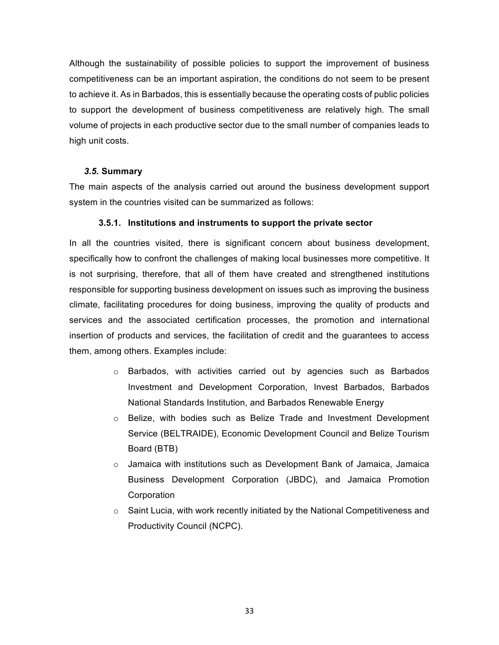Although the sustainability of possible policies to support the improvement of business competitiveness can be an important aspiration, the conditions do not seem to be present to achieve it. As in Barbados, this is essentially because the operating costs of public policies to support the development of business competitiveness are relatively high. The small volume of projects in each productive sector due to the small number of companies leads to high unit costs.

## *3.5.* **Summary**

The main aspects of the analysis carried out around the business development support system in the countries visited can be summarized as follows:

#### **3.5.1.** Institutions and instruments to support the private sector

In all the countries visited, there is significant concern about business development, specifically how to confront the challenges of making local businesses more competitive. It is not surprising, therefore, that all of them have created and strengthened institutions responsible for supporting business development on issues such as improving the business climate, facilitating procedures for doing business, improving the quality of products and services and the associated certification processes, the promotion and international insertion of products and services, the facilitation of credit and the guarantees to access them, among others. Examples include:

- $\circ$  Barbados, with activities carried out by agencies such as Barbados Investment and Development Corporation, Invest Barbados, Barbados National Standards Institution, and Barbados Renewable Energy
- $\circ$  Belize, with bodies such as Belize Trade and Investment Development Service (BELTRAIDE), Economic Development Council and Belize Tourism Board (BTB)
- $\circ$  Jamaica with institutions such as Development Bank of Jamaica, Jamaica Business Development Corporation (JBDC), and Jamaica Promotion **Corporation**
- o Saint Lucia, with work recently initiated by the National Competitiveness and Productivity Council (NCPC).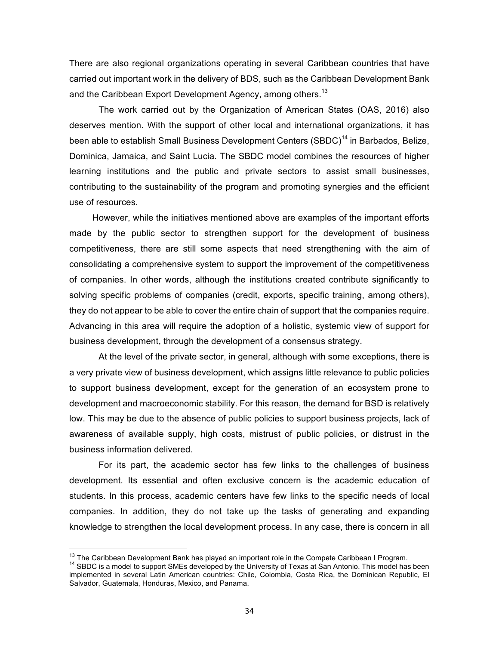There are also regional organizations operating in several Caribbean countries that have carried out important work in the delivery of BDS, such as the Caribbean Development Bank and the Caribbean Export Development Agency, among others.<sup>13</sup>

The work carried out by the Organization of American States (OAS, 2016) also deserves mention. With the support of other local and international organizations, it has been able to establish Small Business Development Centers (SBDC)<sup>14</sup> in Barbados, Belize, Dominica, Jamaica, and Saint Lucia. The SBDC model combines the resources of higher learning institutions and the public and private sectors to assist small businesses, contributing to the sustainability of the program and promoting synergies and the efficient use of resources.

However, while the initiatives mentioned above are examples of the important efforts made by the public sector to strengthen support for the development of business competitiveness, there are still some aspects that need strengthening with the aim of consolidating a comprehensive system to support the improvement of the competitiveness of companies. In other words, although the institutions created contribute significantly to solving specific problems of companies (credit, exports, specific training, among others), they do not appear to be able to cover the entire chain of support that the companies require. Advancing in this area will require the adoption of a holistic, systemic view of support for business development, through the development of a consensus strategy.

At the level of the private sector, in general, although with some exceptions, there is a very private view of business development, which assigns little relevance to public policies to support business development, except for the generation of an ecosystem prone to development and macroeconomic stability. For this reason, the demand for BSD is relatively low. This may be due to the absence of public policies to support business projects, lack of awareness of available supply, high costs, mistrust of public policies, or distrust in the business information delivered.

For its part, the academic sector has few links to the challenges of business development. Its essential and often exclusive concern is the academic education of students. In this process, academic centers have few links to the specific needs of local companies. In addition, they do not take up the tasks of generating and expanding knowledge to strengthen the local development process. In any case, there is concern in all

 $^{13}$  The Caribbean Development Bank has played an important role in the Compete Caribbean I Program.<br><sup>14</sup> SBDC is a model to support SMEs developed by the University of Texas at San Antonio. This model has been implemented in several Latin American countries: Chile, Colombia, Costa Rica, the Dominican Republic, El Salvador, Guatemala, Honduras, Mexico, and Panama.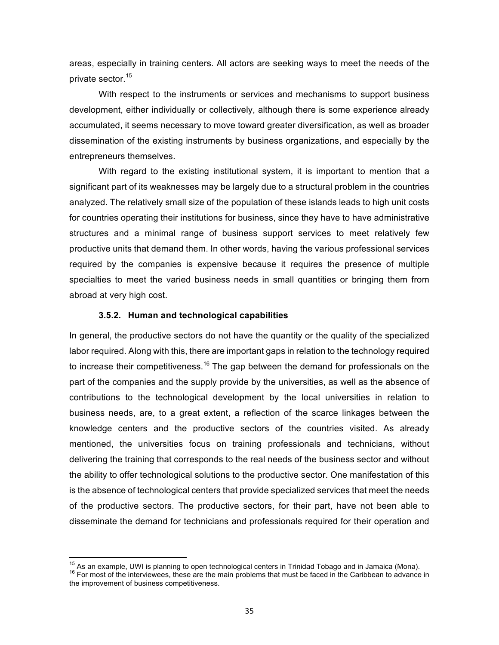areas, especially in training centers. All actors are seeking ways to meet the needs of the private sector.<sup>15</sup>

With respect to the instruments or services and mechanisms to support business development, either individually or collectively, although there is some experience already accumulated, it seems necessary to move toward greater diversification, as well as broader dissemination of the existing instruments by business organizations, and especially by the entrepreneurs themselves.

With regard to the existing institutional system, it is important to mention that a significant part of its weaknesses may be largely due to a structural problem in the countries analyzed. The relatively small size of the population of these islands leads to high unit costs for countries operating their institutions for business, since they have to have administrative structures and a minimal range of business support services to meet relatively few productive units that demand them. In other words, having the various professional services required by the companies is expensive because it requires the presence of multiple specialties to meet the varied business needs in small quantities or bringing them from abroad at very high cost.

#### **3.5.2. Human and technological capabilities**

In general, the productive sectors do not have the quantity or the quality of the specialized labor required. Along with this, there are important gaps in relation to the technology required to increase their competitiveness.<sup>16</sup> The gap between the demand for professionals on the part of the companies and the supply provide by the universities, as well as the absence of contributions to the technological development by the local universities in relation to business needs, are, to a great extent, a reflection of the scarce linkages between the knowledge centers and the productive sectors of the countries visited. As already mentioned, the universities focus on training professionals and technicians, without delivering the training that corresponds to the real needs of the business sector and without the ability to offer technological solutions to the productive sector. One manifestation of this is the absence of technological centers that provide specialized services that meet the needs of the productive sectors. The productive sectors, for their part, have not been able to disseminate the demand for technicians and professionals required for their operation and

<sup>&</sup>lt;sup>15</sup> As an example, UWI is planning to open technological centers in Trinidad Tobago and in Jamaica (Mona).<br><sup>16</sup> For most of the interviewees, these are the main problems that must be faced in the Caribbean to advance in the improvement of business competitiveness.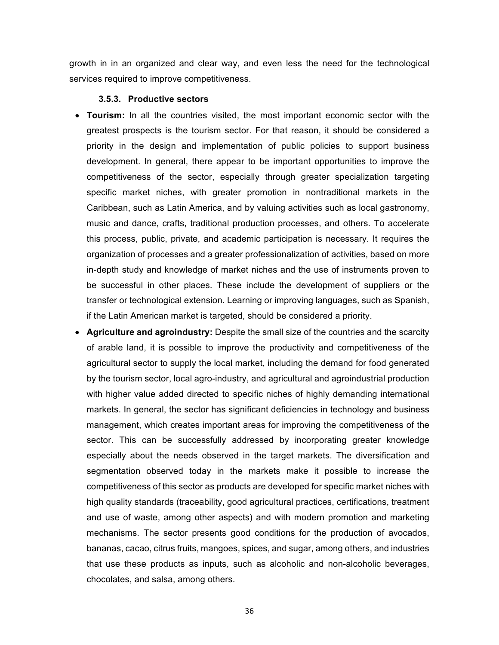growth in in an organized and clear way, and even less the need for the technological services required to improve competitiveness.

#### **3.5.3. Productive&sectors**

- **Tourism:** In all the countries visited, the most important economic sector with the greatest prospects is the tourism sector. For that reason, it should be considered a priority in the design and implementation of public policies to support business development. In general, there appear to be important opportunities to improve the competitiveness of the sector, especially through greater specialization targeting specific market niches, with greater promotion in nontraditional markets in the Caribbean, such as Latin America, and by valuing activities such as local gastronomy, music and dance, crafts, traditional production processes, and others. To accelerate this process, public, private, and academic participation is necessary. It requires the organization of processes and a greater professionalization of activities, based on more in-depth study and knowledge of market niches and the use of instruments proven to be successful in other places. These include the development of suppliers or the transfer or technological extension. Learning or improving languages, such as Spanish, if the Latin American market is targeted, should be considered a priority.
- Agriculture and agroindustry: Despite the small size of the countries and the scarcity of arable land, it is possible to improve the productivity and competitiveness of the agricultural sector to supply the local market, including the demand for food generated by the tourism sector, local agro-industry, and agricultural and agroindustrial production with higher value added directed to specific niches of highly demanding international markets. In general, the sector has significant deficiencies in technology and business management, which creates important areas for improving the competitiveness of the sector. This can be successfully addressed by incorporating greater knowledge especially about the needs observed in the target markets. The diversification and segmentation observed today in the markets make it possible to increase the competitiveness of this sector as products are developed for specific market niches with high quality standards (traceability, good agricultural practices, certifications, treatment and use of waste, among other aspects) and with modern promotion and marketing mechanisms. The sector presents good conditions for the production of avocados, bananas, cacao, citrus fruits, mangoes, spices, and sugar, among others, and industries that use these products as inputs, such as alcoholic and non-alcoholic beverages, chocolates, and salsa, among others.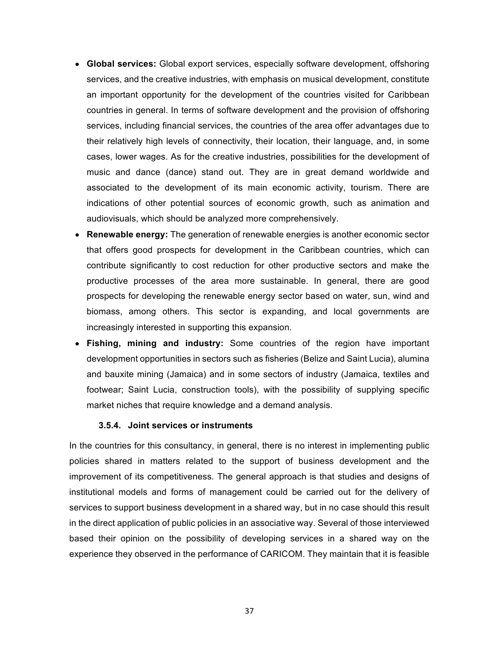- **Global services:** Global export services, especially software development, offshoring services, and the creative industries, with emphasis on musical development, constitute an important opportunity for the development of the countries visited for Caribbean countries in general. In terms of software development and the provision of offshoring services, including financial services, the countries of the area offer advantages due to their relatively high levels of connectivity, their location, their language, and, in some cases, lower wages. As for the creative industries, possibilities for the development of music and dance (dance) stand out. They are in great demand worldwide and associated to the development of its main economic activity, tourism. There are indications of other potential sources of economic growth, such as animation and audiovisuals, which should be analyzed more comprehensively.
- **Renewable energy:** The generation of renewable energies is another economic sector that offers good prospects for development in the Caribbean countries, which can contribute significantly to cost reduction for other productive sectors and make the productive processes of the area more sustainable. In general, there are good prospects for developing the renewable energy sector based on water, sun, wind and biomass, among others. This sector is expanding, and local governments are increasingly interested in supporting this expansion.
- **Fishing, mining and industry:** Some countries of the region have important development opportunities in sectors such as fisheries (Belize and Saint Lucia), alumina and bauxite mining (Jamaica) and in some sectors of industry (Jamaica, textiles and footwear; Saint Lucia, construction tools), with the possibility of supplying specific market niches that require knowledge and a demand analysis.

## **3.5.4.** Joint services or instruments

In the countries for this consultancy, in general, there is no interest in implementing public policies shared in matters related to the support of business development and the improvement of its competitiveness. The general approach is that studies and designs of institutional models and forms of management could be carried out for the delivery of services to support business development in a shared way, but in no case should this result in the direct application of public policies in an associative way. Several of those interviewed based their opinion on the possibility of developing services in a shared way on the experience they observed in the performance of CARICOM. They maintain that it is feasible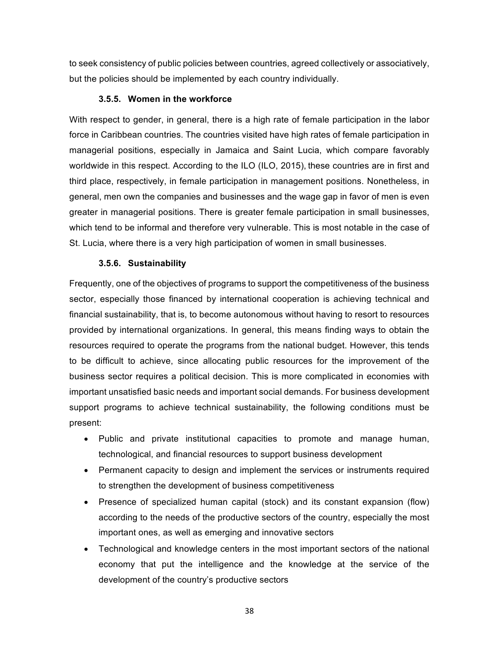to seek consistency of public policies between countries, agreed collectively or associatively, but the policies should be implemented by each country individually.

## **3.5.5.** Women in the workforce

With respect to gender, in general, there is a high rate of female participation in the labor force in Caribbean countries. The countries visited have high rates of female participation in managerial positions, especially in Jamaica and Saint Lucia, which compare favorably worldwide in this respect. According to the ILO (ILO, 2015), these countries are in first and third place, respectively, in female participation in management positions. Nonetheless, in general, men own the companies and businesses and the wage gap in favor of men is even greater in managerial positions. There is greater female participation in small businesses, which tend to be informal and therefore very vulnerable. This is most notable in the case of St. Lucia, where there is a very high participation of women in small businesses.

# **3.5.6. Sustainability**

Frequently, one of the objectives of programs to support the competitiveness of the business sector, especially those financed by international cooperation is achieving technical and financial sustainability, that is, to become autonomous without having to resort to resources provided by international organizations. In general, this means finding ways to obtain the resources required to operate the programs from the national budget. However, this tends to be difficult to achieve, since allocating public resources for the improvement of the business sector requires a political decision. This is more complicated in economies with important unsatisfied basic needs and important social demands. For business development support programs to achieve technical sustainability, the following conditions must be present:

- Public and private institutional capacities to promote and manage human, technological, and financial resources to support business development
- Permanent capacity to design and implement the services or instruments required to strengthen the development of business competitiveness
- Presence of specialized human capital (stock) and its constant expansion (flow) according to the needs of the productive sectors of the country, especially the most important ones, as well as emerging and innovative sectors
- Technological and knowledge centers in the most important sectors of the national economy that put the intelligence and the knowledge at the service of the development of the country's productive sectors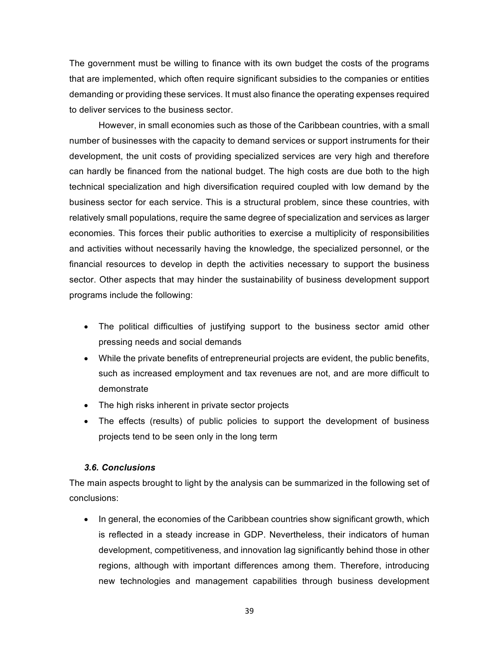The government must be willing to finance with its own budget the costs of the programs that are implemented, which often require significant subsidies to the companies or entities demanding or providing these services. It must also finance the operating expenses required to deliver services to the business sector.

However, in small economies such as those of the Caribbean countries, with a small number of businesses with the capacity to demand services or support instruments for their development, the unit costs of providing specialized services are very high and therefore can hardly be financed from the national budget. The high costs are due both to the high technical specialization and high diversification required coupled with low demand by the business sector for each service. This is a structural problem, since these countries, with relatively small populations, require the same degree of specialization and services as larger economies. This forces their public authorities to exercise a multiplicity of responsibilities and activities without necessarily having the knowledge, the specialized personnel, or the financial resources to develop in depth the activities necessary to support the business sector. Other aspects that may hinder the sustainability of business development support programs include the following:

- The political difficulties of justifying support to the business sector amid other pressing needs and social demands
- While the private benefits of entrepreneurial projects are evident, the public benefits, such as increased employment and tax revenues are not, and are more difficult to demonstrate
- The high risks inherent in private sector projects
- The effects (results) of public policies to support the development of business projects tend to be seen only in the long term

## *3.6. Conclusions*

The main aspects brought to light by the analysis can be summarized in the following set of conclusions:

In general, the economies of the Caribbean countries show significant growth, which is reflected in a steady increase in GDP. Nevertheless, their indicators of human development, competitiveness, and innovation lag significantly behind those in other regions, although with important differences among them. Therefore, introducing new technologies and management capabilities through business development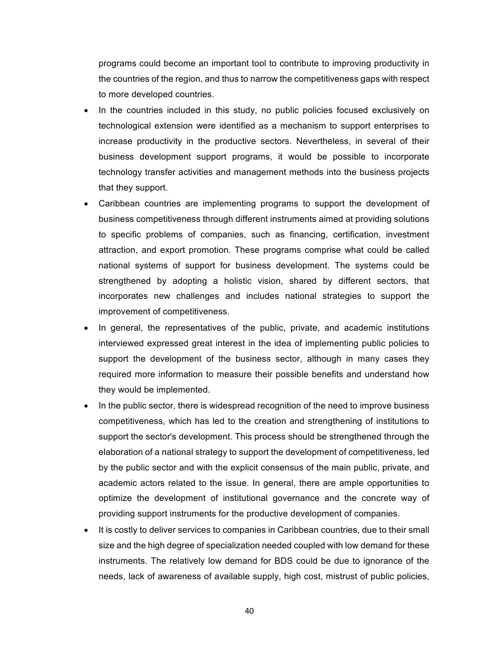programs could become an important tool to contribute to improving productivity in the countries of the region, and thus to narrow the competitiveness gaps with respect to more developed countries.

- In the countries included in this study, no public policies focused exclusively on technological extension were identified as a mechanism to support enterprises to increase productivity in the productive sectors. Nevertheless, in several of their business development support programs, it would be possible to incorporate technology transfer activities and management methods into the business projects that they support.
- Caribbean countries are implementing programs to support the development of business competitiveness through different instruments aimed at providing solutions to specific problems of companies, such as financing, certification, investment attraction, and export promotion. These programs comprise what could be called national systems of support for business development. The systems could be strengthened by adopting a holistic vision, shared by different sectors, that incorporates new challenges and includes national strategies to support the improvement of competitiveness.
- In general, the representatives of the public, private, and academic institutions interviewed expressed great interest in the idea of implementing public policies to support the development of the business sector, although in many cases they required more information to measure their possible benefits and understand how they would be implemented.
- In the public sector, there is widespread recognition of the need to improve business competitiveness, which has led to the creation and strengthening of institutions to support the sector's development. This process should be strengthened through the elaboration of a national strategy to support the development of competitiveness, led by the public sector and with the explicit consensus of the main public, private, and academic actors related to the issue. In general, there are ample opportunities to optimize the development of institutional governance and the concrete way of providing support instruments for the productive development of companies.
- It is costly to deliver services to companies in Caribbean countries, due to their small size and the high degree of specialization needed coupled with low demand for these instruments. The relatively low demand for BDS could be due to ignorance of the needs, lack of awareness of available supply, high cost, mistrust of public policies,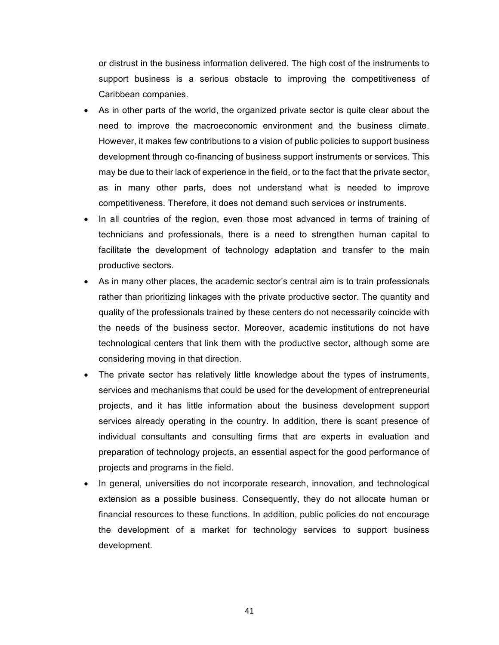or distrust in the business information delivered. The high cost of the instruments to support business is a serious obstacle to improving the competitiveness of Caribbean companies.

- As in other parts of the world, the organized private sector is quite clear about the need to improve the macroeconomic environment and the business climate. However, it makes few contributions to a vision of public policies to support business development through co-financing of business support instruments or services. This may be due to their lack of experience in the field, or to the fact that the private sector, as in many other parts, does not understand what is needed to improve competitiveness. Therefore, it does not demand such services or instruments.
- In all countries of the region, even those most advanced in terms of training of technicians and professionals, there is a need to strengthen human capital to facilitate the development of technology adaptation and transfer to the main productive sectors.
- As in many other places, the academic sector's central aim is to train professionals rather than prioritizing linkages with the private productive sector. The quantity and quality of the professionals trained by these centers do not necessarily coincide with the needs of the business sector. Moreover, academic institutions do not have technological centers that link them with the productive sector, although some are considering moving in that direction.
- The private sector has relatively little knowledge about the types of instruments, services and mechanisms that could be used for the development of entrepreneurial projects, and it has little information about the business development support services already operating in the country. In addition, there is scant presence of individual consultants and consulting firms that are experts in evaluation and preparation of technology projects, an essential aspect for the good performance of projects and programs in the field.
- In general, universities do not incorporate research, innovation, and technological extension as a possible business. Consequently, they do not allocate human or financial resources to these functions. In addition, public policies do not encourage the development of a market for technology services to support business development.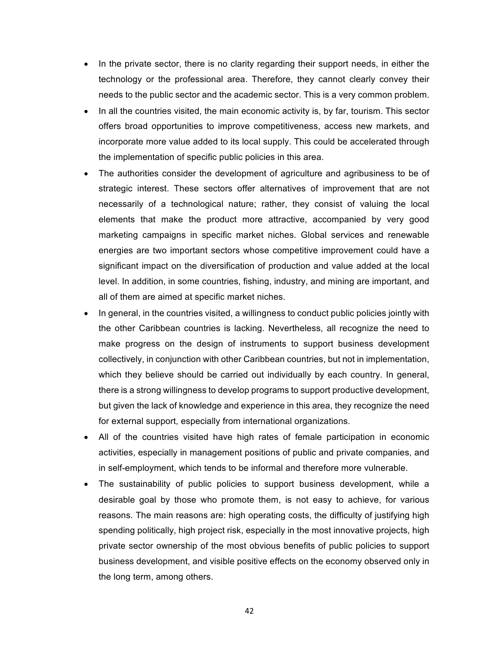- In the private sector, there is no clarity regarding their support needs, in either the technology or the professional area. Therefore, they cannot clearly convey their needs to the public sector and the academic sector. This is a very common problem.
- In all the countries visited, the main economic activity is, by far, tourism. This sector offers broad opportunities to improve competitiveness, access new markets, and incorporate more value added to its local supply. This could be accelerated through the implementation of specific public policies in this area.
- The authorities consider the development of agriculture and agribusiness to be of strategic interest. These sectors offer alternatives of improvement that are not necessarily of a technological nature; rather, they consist of valuing the local elements that make the product more attractive, accompanied by very good marketing campaigns in specific market niches. Global services and renewable energies are two important sectors whose competitive improvement could have a significant impact on the diversification of production and value added at the local level. In addition, in some countries, fishing, industry, and mining are important, and all of them are aimed at specific market niches.
- In general, in the countries visited, a willingness to conduct public policies jointly with the other Caribbean countries is lacking. Nevertheless, all recognize the need to make progress on the design of instruments to support business development collectively, in conjunction with other Caribbean countries, but not in implementation, which they believe should be carried out individually by each country. In general, there is a strong willingness to develop programs to support productive development, but given the lack of knowledge and experience in this area, they recognize the need for external support, especially from international organizations.
- All of the countries visited have high rates of female participation in economic activities, especially in management positions of public and private companies, and in self-employment, which tends to be informal and therefore more vulnerable.
- The sustainability of public policies to support business development, while a desirable goal by those who promote them, is not easy to achieve, for various reasons. The main reasons are: high operating costs, the difficulty of justifying high spending politically, high project risk, especially in the most innovative projects, high private sector ownership of the most obvious benefits of public policies to support business development, and visible positive effects on the economy observed only in the long term, among others.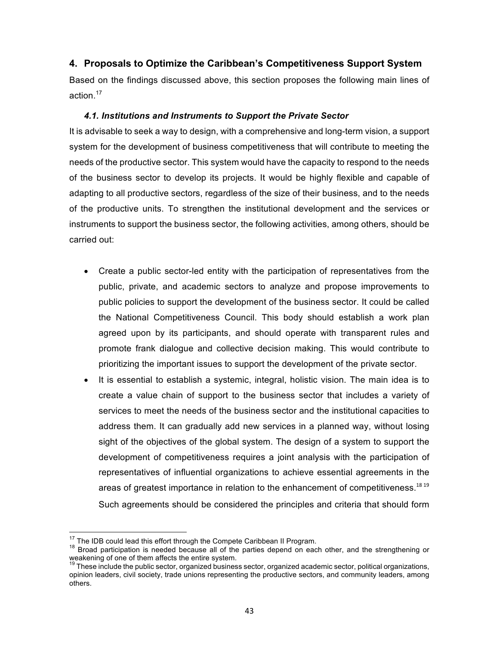# **4. Proposals to Optimize the Caribbean's Competitiveness Support System**

Based on the findings discussed above, this section proposes the following main lines of action. 17

## **4.1. Institutions and Instruments to Support the Private Sector**

It is advisable to seek a way to design, with a comprehensive and long-term vision, a support system for the development of business competitiveness that will contribute to meeting the needs of the productive sector. This system would have the capacity to respond to the needs of the business sector to develop its projects. It would be highly flexible and capable of adapting to all productive sectors, regardless of the size of their business, and to the needs of the productive units. To strengthen the institutional development and the services or instruments to support the business sector, the following activities, among others, should be carried out:

- Create a public sector-led entity with the participation of representatives from the public, private, and academic sectors to analyze and propose improvements to public policies to support the development of the business sector. It could be called the National Competitiveness Council. This body should establish a work plan agreed upon by its participants, and should operate with transparent rules and promote frank dialogue and collective decision making. This would contribute to prioritizing the important issues to support the development of the private sector.
- It is essential to establish a systemic, integral, holistic vision. The main idea is to create a value chain of support to the business sector that includes a variety of services to meet the needs of the business sector and the institutional capacities to address them. It can gradually add new services in a planned way, without losing sight of the objectives of the global system. The design of a system to support the development of competitiveness requires a joint analysis with the participation of representatives of influential organizations to achieve essential agreements in the areas of greatest importance in relation to the enhancement of competitiveness. $^{18\,19}$ Such agreements should be considered the principles and criteria that should form

<sup>&</sup>lt;sup>17</sup> The IDB could lead this effort through the Compete Caribbean II Program.<br><sup>18</sup> Broad participation is needed because all of the parties depend on each other, and the strengthening or<br>weakening of one of them affects t

These include the public sector, organized business sector, organized academic sector, political organizations, opinion leaders, civil society, trade unions representing the productive sectors, and community leaders, among others.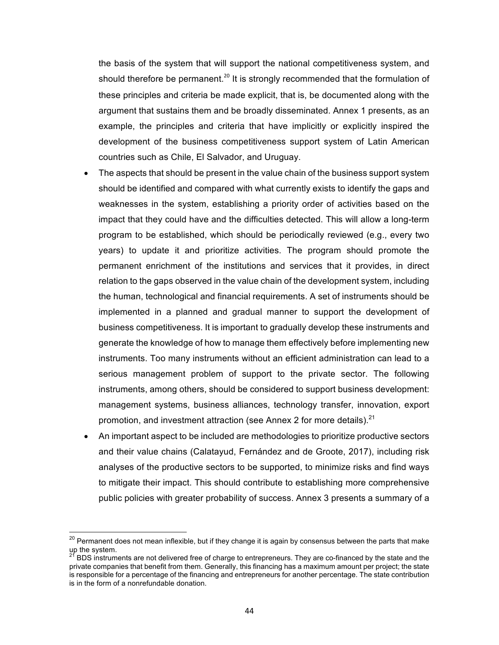the basis of the system that will support the national competitiveness system, and should therefore be permanent.<sup>20</sup> It is strongly recommended that the formulation of these principles and criteria be made explicit, that is, be documented along with the argument that sustains them and be broadly disseminated. Annex 1 presents, as an example, the principles and criteria that have implicitly or explicitly inspired the development of the business competitiveness support system of Latin American countries such as Chile, El Salvador, and Uruguay.

- The aspects that should be present in the value chain of the business support system should be identified and compared with what currently exists to identify the gaps and weaknesses in the system, establishing a priority order of activities based on the impact that they could have and the difficulties detected. This will allow a long-term program to be established, which should be periodically reviewed (e.g., every two years) to update it and prioritize activities. The program should promote the permanent enrichment of the institutions and services that it provides, in direct relation to the gaps observed in the value chain of the development system, including the human, technological and financial requirements. A set of instruments should be implemented in a planned and gradual manner to support the development of business competitiveness. It is important to gradually develop these instruments and generate the knowledge of how to manage them effectively before implementing new instruments. Too many instruments without an efficient administration can lead to a serious management problem of support to the private sector. The following instruments, among others, should be considered to support business development: management systems, business alliances, technology transfer, innovation, export promotion, and investment attraction (see Annex 2 for more details).<sup>21</sup>
- An important aspect to be included are methodologies to prioritize productive sectors and their value chains (Calatayud, Fernández and de Groote, 2017), including risk analyses of the productive sectors to be supported, to minimize risks and find ways to mitigate their impact. This should contribute to establishing more comprehensive public policies with greater probability of success. Annex 3 presents a summary of a

<sup>&</sup>lt;sup>20</sup> Permanent does not mean inflexible, but if they change it is again by consensus between the parts that make  $u_p$  the system.

BDS instruments are not delivered free of charge to entrepreneurs. They are co-financed by the state and the private companies that benefit from them. Generally, this financing has a maximum amount per project; the state is responsible for a percentage of the financing and entrepreneurs for another percentage. The state contribution is in the form of a nonrefundable donation.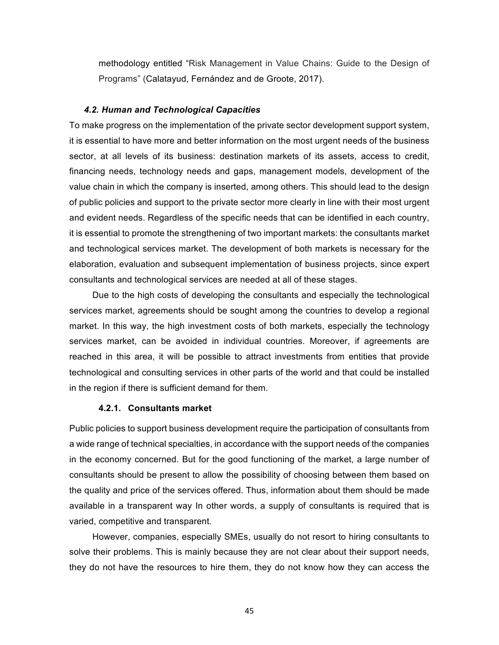methodology entitled "Risk Management in Value Chains: Guide to the Design of Programs" (Calatayud, Fernández and de Groote, 2017).

#### *4.2. Human\$and\$Technological\$Capacities*

To make progress on the implementation of the private sector development support system, it is essential to have more and better information on the most urgent needs of the business sector, at all levels of its business: destination markets of its assets, access to credit, financing needs, technology needs and gaps, management models, development of the value chain in which the company is inserted, among others. This should lead to the design of public policies and support to the private sector more clearly in line with their most urgent and evident needs. Regardless of the specific needs that can be identified in each country, it is essential to promote the strengthening of two important markets: the consultants market and technological services market. The development of both markets is necessary for the elaboration, evaluation and subsequent implementation of business projects, since expert consultants and technological services are needed at all of these stages.

Due to the high costs of developing the consultants and especially the technological services market, agreements should be sought among the countries to develop a regional market. In this way, the high investment costs of both markets, especially the technology services market, can be avoided in individual countries. Moreover, if agreements are reached in this area, it will be possible to attract investments from entities that provide technological and consulting services in other parts of the world and that could be installed in the region if there is sufficient demand for them.

#### **4.2.1. Consultants market**

Public policies to support business development require the participation of consultants from a wide range of technical specialties, in accordance with the support needs of the companies in the economy concerned. But for the good functioning of the market, a large number of consultants should be present to allow the possibility of choosing between them based on the quality and price of the services offered. Thus, information about them should be made available in a transparent way In other words, a supply of consultants is required that is varied, competitive and transparent.

However, companies, especially SMEs, usually do not resort to hiring consultants to solve their problems. This is mainly because they are not clear about their support needs, they do not have the resources to hire them, they do not know how they can access the

45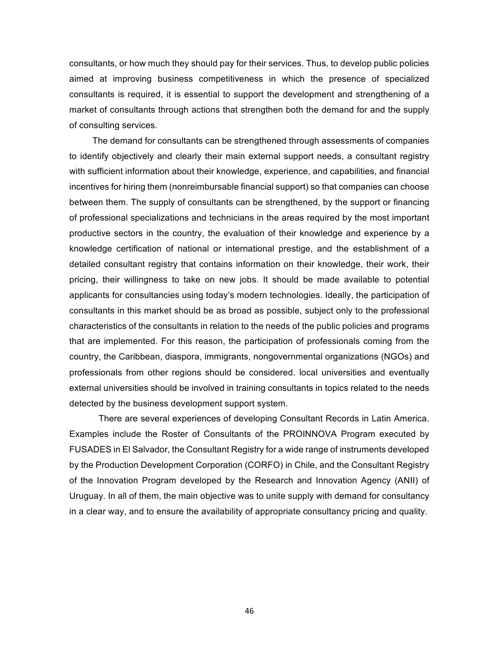consultants, or how much they should pay for their services. Thus, to develop public policies aimed at improving business competitiveness in which the presence of specialized consultants is required, it is essential to support the development and strengthening of a market of consultants through actions that strengthen both the demand for and the supply of consulting services.

The demand for consultants can be strengthened through assessments of companies to identify objectively and clearly their main external support needs, a consultant registry with sufficient information about their knowledge, experience, and capabilities, and financial incentives for hiring them (nonreimbursable financial support) so that companies can choose between them. The supply of consultants can be strengthened, by the support or financing of professional specializations and technicians in the areas required by the most important productive sectors in the country, the evaluation of their knowledge and experience by a knowledge certification of national or international prestige, and the establishment of a detailed consultant registry that contains information on their knowledge, their work, their pricing, their willingness to take on new jobs. It should be made available to potential applicants for consultancies using today's modern technologies. Ideally, the participation of consultants in this market should be as broad as possible, subject only to the professional characteristics of the consultants in relation to the needs of the public policies and programs that are implemented. For this reason, the participation of professionals coming from the country, the Caribbean, diaspora, immigrants, nongovernmental organizations (NGOs) and professionals from other regions should be considered. local universities and eventually external universities should be involved in training consultants in topics related to the needs detected by the business development support system.

There are several experiences of developing Consultant Records in Latin America. Examples include the Roster of Consultants of the PROINNOVA Program executed by FUSADES in El Salvador, the Consultant Registry for a wide range of instruments developed by the Production Development Corporation (CORFO) in Chile, and the Consultant Registry of the Innovation Program developed by the Research and Innovation Agency (ANII) of Uruguay. In all of them, the main objective was to unite supply with demand for consultancy in a clear way, and to ensure the availability of appropriate consultancy pricing and quality.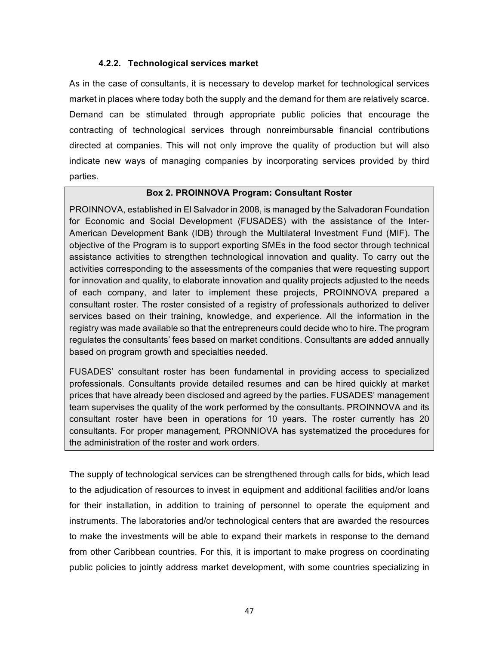## **4.2.2. Technological services market**

As in the case of consultants, it is necessary to develop market for technological services market in places where today both the supply and the demand for them are relatively scarce. Demand can be stimulated through appropriate public policies that encourage the contracting of technological services through nonreimbursable financial contributions directed at companies. This will not only improve the quality of production but will also indicate new ways of managing companies by incorporating services provided by third parties.

## **Box&2.&PROINNOVA&Program:&Consultant Roster**

PROINNOVA, established in El Salvador in 2008, is managed by the Salvadoran Foundation for Economic and Social Development (FUSADES) with the assistance of the Inter-American Development Bank (IDB) through the Multilateral Investment Fund (MIF). The objective of the Program is to support exporting SMEs in the food sector through technical assistance activities to strengthen technological innovation and quality. To carry out the activities corresponding to the assessments of the companies that were requesting support for innovation and quality, to elaborate innovation and quality projects adjusted to the needs of each company, and later to implement these projects, PROINNOVA prepared a consultant roster. The roster consisted of a registry of professionals authorized to deliver services based on their training, knowledge, and experience. All the information in the registry was made available so that the entrepreneurs could decide who to hire. The program regulates the consultants' fees based on market conditions. Consultants are added annually based on program growth and specialties needed.

FUSADES' consultant roster has been fundamental in providing access to specialized professionals. Consultants provide detailed resumes and can be hired quickly at market prices that have already been disclosed and agreed by the parties. FUSADES' management team supervises the quality of the work performed by the consultants. PROINNOVA and its consultant roster have been in operations for 10 years. The roster currently has 20 consultants. For proper management, PRONNIOVA has systematized the procedures for the administration of the roster and work orders.

The supply of technological services can be strengthened through calls for bids, which lead to the adjudication of resources to invest in equipment and additional facilities and/or loans for their installation, in addition to training of personnel to operate the equipment and instruments. The laboratories and/or technological centers that are awarded the resources to make the investments will be able to expand their markets in response to the demand from other Caribbean countries. For this, it is important to make progress on coordinating public policies to jointly address market development, with some countries specializing in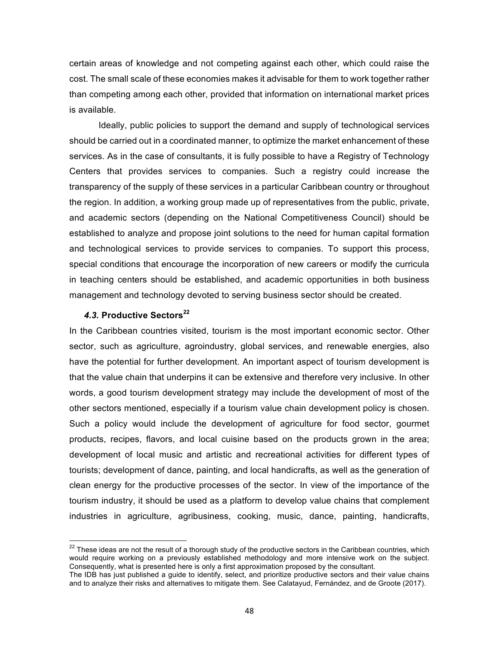certain areas of knowledge and not competing against each other, which could raise the cost. The small scale of these economies makes it advisable for them to work together rather than competing among each other, provided that information on international market prices is available.

Ideally, public policies to support the demand and supply of technological services should be carried out in a coordinated manner, to optimize the market enhancement of these services. As in the case of consultants, it is fully possible to have a Registry of Technology Centers that provides services to companies. Such a registry could increase the transparency of the supply of these services in a particular Caribbean country or throughout the region. In addition, a working group made up of representatives from the public, private, and academic sectors (depending on the National Competitiveness Council) should be established to analyze and propose joint solutions to the need for human capital formation and technological services to provide services to companies. To support this process, special conditions that encourage the incorporation of new careers or modify the curricula in teaching centers should be established, and academic opportunities in both business management and technology devoted to serving business sector should be created.

#### *4.3.* **Productive&Sectors<sup>22</sup>**

In the Caribbean countries visited, tourism is the most important economic sector. Other sector, such as agriculture, agroindustry, global services, and renewable energies, also have the potential for further development. An important aspect of tourism development is that the value chain that underpins it can be extensive and therefore very inclusive. In other words, a good tourism development strategy may include the development of most of the other sectors mentioned, especially if a tourism value chain development policy is chosen. Such a policy would include the development of agriculture for food sector, gourmet products, recipes, flavors, and local cuisine based on the products grown in the area; development of local music and artistic and recreational activities for different types of tourists; development of dance, painting, and local handicrafts, as well as the generation of clean energy for the productive processes of the sector. In view of the importance of the tourism industry, it should be used as a platform to develop value chains that complement industries in agriculture, agribusiness, cooking, music, dance, painting, handicrafts,

 $22$  These ideas are not the result of a thorough study of the productive sectors in the Caribbean countries, which would require working on a previously established methodology and more intensive work on the subject. Consequently, what is presented here is only a first approximation proposed by the consultant.

The IDB has just published a guide to identify, select, and prioritize productive sectors and their value chains and to analyze their risks and alternatives to mitigate them. See Calatayud, Fernández, and de Groote (2017).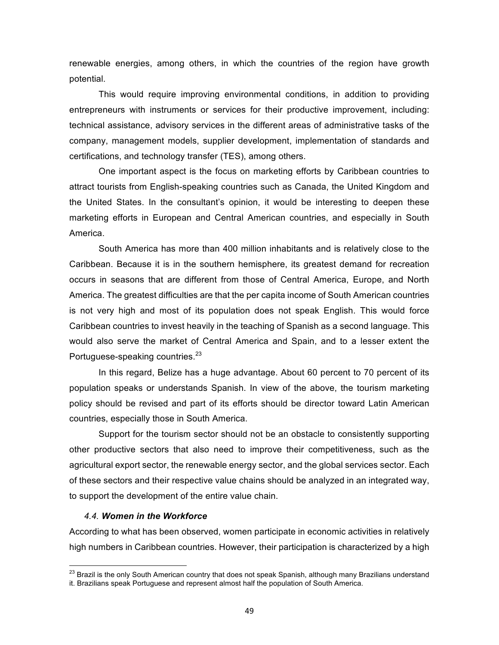renewable energies, among others, in which the countries of the region have growth potential.

This would require improving environmental conditions, in addition to providing entrepreneurs with instruments or services for their productive improvement, including: technical assistance, advisory services in the different areas of administrative tasks of the company, management models, supplier development, implementation of standards and certifications, and technology transfer (TES), among others.

One important aspect is the focus on marketing efforts by Caribbean countries to attract tourists from English-speaking countries such as Canada, the United Kingdom and the United States. In the consultant's opinion, it would be interesting to deepen these marketing efforts in European and Central American countries, and especially in South America.

South America has more than 400 million inhabitants and is relatively close to the Caribbean. Because it is in the southern hemisphere, its greatest demand for recreation occurs in seasons that are different from those of Central America, Europe, and North America. The greatest difficulties are that the per capita income of South American countries is not very high and most of its population does not speak English. This would force Caribbean countries to invest heavily in the teaching of Spanish as a second language. This would also serve the market of Central America and Spain, and to a lesser extent the Portuguese-speaking countries.<sup>23</sup>

In this regard, Belize has a huge advantage. About 60 percent to 70 percent of its population speaks or understands Spanish. In view of the above, the tourism marketing policy should be revised and part of its efforts should be director toward Latin American countries, especially those in South America.

Support for the tourism sector should not be an obstacle to consistently supporting other productive sectors that also need to improve their competitiveness, such as the agricultural export sector, the renewable energy sector, and the global services sector. Each of these sectors and their respective value chains should be analyzed in an integrated way, to support the development of the entire value chain.

#### **4.4. Women in the Workforce**

According to what has been observed, women participate in economic activities in relatively high numbers in Caribbean countries. However, their participation is characterized by a high

<sup>&</sup>lt;sup>23</sup> Brazil is the only South American country that does not speak Spanish, although many Brazilians understand it. Brazilians speak Portuguese and represent almost half the population of South America.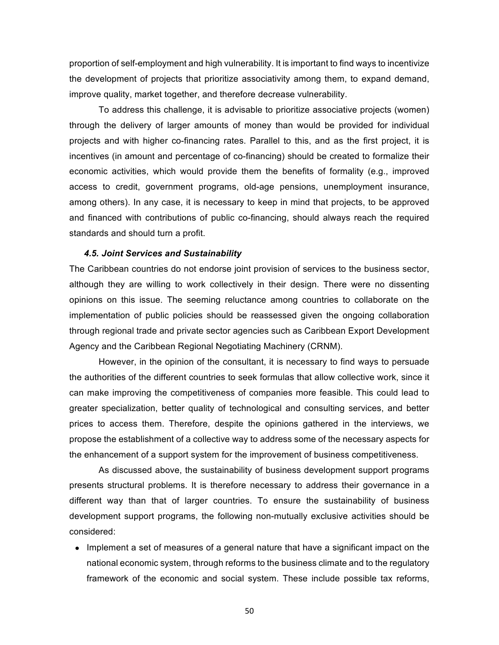proportion of self-employment and high vulnerability. It is important to find ways to incentivize the development of projects that prioritize associativity among them, to expand demand, improve quality, market together, and therefore decrease vulnerability.

To address this challenge, it is advisable to prioritize associative projects (women) through the delivery of larger amounts of money than would be provided for individual projects and with higher co-financing rates. Parallel to this, and as the first project, it is incentives (in amount and percentage of co-financing) should be created to formalize their economic activities, which would provide them the benefits of formality (e.g., improved access to credit, government programs, old-age pensions, unemployment insurance, among others). In any case, it is necessary to keep in mind that projects, to be approved and financed with contributions of public co-financing, should always reach the required standards and should turn a profit.

#### **4.5. Joint Services and Sustainability**

The Caribbean countries do not endorse joint provision of services to the business sector, although they are willing to work collectively in their design. There were no dissenting opinions on this issue. The seeming reluctance among countries to collaborate on the implementation of public policies should be reassessed given the ongoing collaboration through regional trade and private sector agencies such as Caribbean Export Development Agency and the Caribbean Regional Negotiating Machinery (CRNM).

However, in the opinion of the consultant, it is necessary to find ways to persuade the authorities of the different countries to seek formulas that allow collective work, since it can make improving the competitiveness of companies more feasible. This could lead to greater specialization, better quality of technological and consulting services, and better prices to access them. Therefore, despite the opinions gathered in the interviews, we propose the establishment of a collective way to address some of the necessary aspects for the enhancement of a support system for the improvement of business competitiveness.

As discussed above, the sustainability of business development support programs presents structural problems. It is therefore necessary to address their governance in a different way than that of larger countries. To ensure the sustainability of business development support programs, the following non-mutually exclusive activities should be considered:

• Implement a set of measures of a general nature that have a significant impact on the national economic system, through reforms to the business climate and to the regulatory framework of the economic and social system. These include possible tax reforms,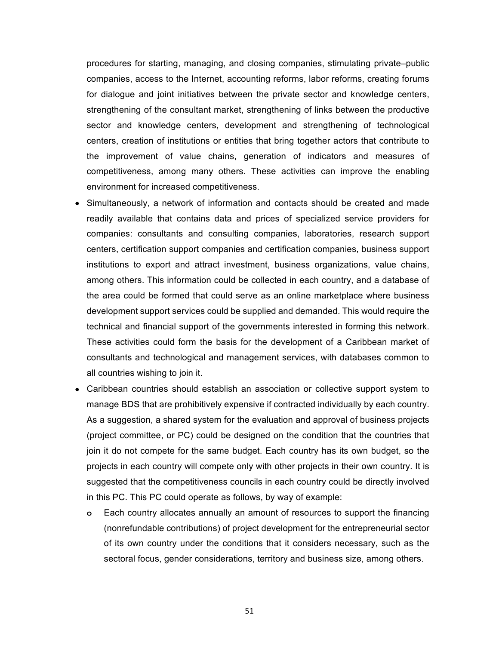procedures for starting, managing, and closing companies, stimulating private–public companies, access to the Internet, accounting reforms, labor reforms, creating forums for dialogue and joint initiatives between the private sector and knowledge centers, strengthening of the consultant market, strengthening of links between the productive sector and knowledge centers, development and strengthening of technological centers, creation of institutions or entities that bring together actors that contribute to the improvement of value chains, generation of indicators and measures of competitiveness, among many others. These activities can improve the enabling environment for increased competitiveness.

- Simultaneously, a network of information and contacts should be created and made readily available that contains data and prices of specialized service providers for companies: consultants and consulting companies, laboratories, research support centers, certification support companies and certification companies, business support institutions to export and attract investment, business organizations, value chains, among others. This information could be collected in each country, and a database of the area could be formed that could serve as an online marketplace where business development support services could be supplied and demanded. This would require the technical and financial support of the governments interested in forming this network. These activities could form the basis for the development of a Caribbean market of consultants and technological and management services, with databases common to all countries wishing to join it.
- Caribbean countries should establish an association or collective support system to manage BDS that are prohibitively expensive if contracted individually by each country. As a suggestion, a shared system for the evaluation and approval of business projects (project committee, or PC) could be designed on the condition that the countries that join it do not compete for the same budget. Each country has its own budget, so the projects in each country will compete only with other projects in their own country. It is suggested that the competitiveness councils in each country could be directly involved in this PC. This PC could operate as follows, by way of example:
	- **o** Each country allocates annually an amount of resources to support the financing (nonrefundable contributions) of project development for the entrepreneurial sector of its own country under the conditions that it considers necessary, such as the sectoral focus, gender considerations, territory and business size, among others.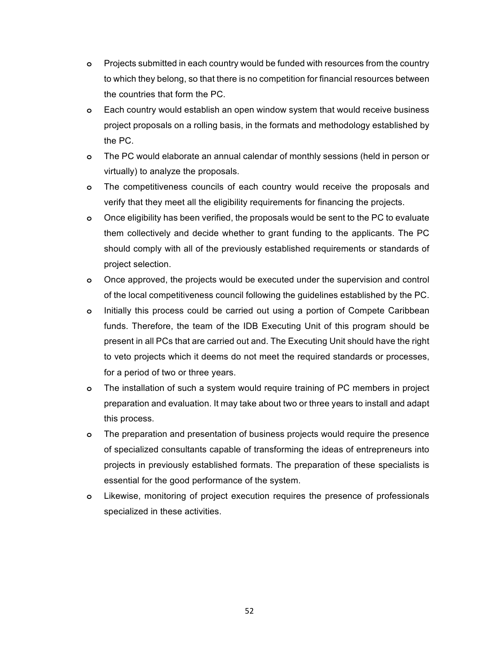- **o** Projects submitted in each country would be funded with resources from the country to which they belong, so that there is no competition for financial resources between the countries that form the PC.
- **o** Each country would establish an open window system that would receive business project proposals on a rolling basis, in the formats and methodology established by the PC.
- **o** The PC would elaborate an annual calendar of monthly sessions (held in person or virtually) to analyze the proposals.
- **o** The competitiveness councils of each country would receive the proposals and verify that they meet all the eligibility requirements for financing the projects.
- **o** Once eligibility has been verified, the proposals would be sent to the PC to evaluate them collectively and decide whether to grant funding to the applicants. The PC should comply with all of the previously established requirements or standards of project selection.
- **o** Once approved, the projects would be executed under the supervision and control of the local competitiveness council following the guidelines established by the PC.
- **o** Initially this process could be carried out using a portion of Compete Caribbean funds. Therefore, the team of the IDB Executing Unit of this program should be present in all PCs that are carried out and. The Executing Unit should have the right to veto projects which it deems do not meet the required standards or processes, for a period of two or three years.
- **o** The installation of such a system would require training of PC members in project preparation and evaluation. It may take about two or three years to install and adapt this process.
- **o** The preparation and presentation of business projects would require the presence of specialized consultants capable of transforming the ideas of entrepreneurs into projects in previously established formats. The preparation of these specialists is essential for the good performance of the system.
- **o** Likewise, monitoring of project execution requires the presence of professionals specialized in these activities.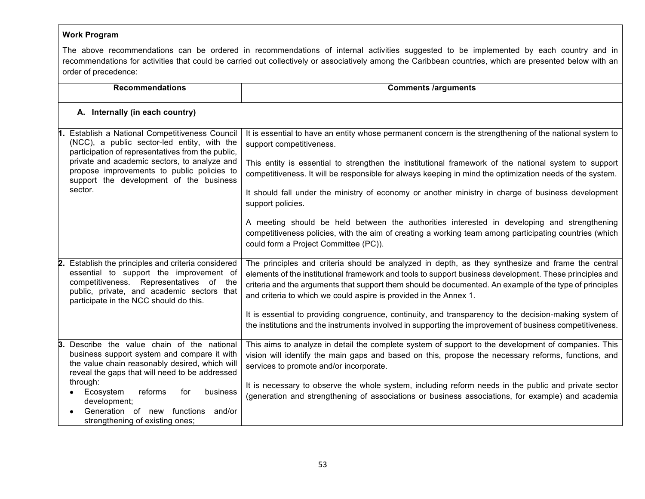# **Work Program**

The above recommendations can be ordered in recommendations of internal activities suggested to be implemented by each country and in recommendations for activities that could be carried out collectively or associatively among the Caribbean countries, which are presented below with an order of precedence:

|    | <b>Recommendations</b>                                                                                                                                                                                                                                                                                                                         | <b>Comments /arguments</b>                                                                                                                                                                                                                                                                                                                                                                                                                                                          |
|----|------------------------------------------------------------------------------------------------------------------------------------------------------------------------------------------------------------------------------------------------------------------------------------------------------------------------------------------------|-------------------------------------------------------------------------------------------------------------------------------------------------------------------------------------------------------------------------------------------------------------------------------------------------------------------------------------------------------------------------------------------------------------------------------------------------------------------------------------|
|    | A. Internally (in each country)                                                                                                                                                                                                                                                                                                                |                                                                                                                                                                                                                                                                                                                                                                                                                                                                                     |
|    | Establish a National Competitiveness Council<br>(NCC), a public sector-led entity, with the<br>participation of representatives from the public,<br>private and academic sectors, to analyze and<br>propose improvements to public policies to<br>support the development of the business<br>sector.                                           | It is essential to have an entity whose permanent concern is the strengthening of the national system to<br>support competitiveness.<br>This entity is essential to strengthen the institutional framework of the national system to support<br>competitiveness. It will be responsible for always keeping in mind the optimization needs of the system.<br>It should fall under the ministry of economy or another ministry in charge of business development<br>support policies. |
|    |                                                                                                                                                                                                                                                                                                                                                | A meeting should be held between the authorities interested in developing and strengthening<br>competitiveness policies, with the aim of creating a working team among participating countries (which<br>could form a Project Committee (PC)).                                                                                                                                                                                                                                      |
| 2. | Establish the principles and criteria considered<br>essential to support the improvement of<br>competitiveness. Representatives of the<br>public, private, and academic sectors that<br>participate in the NCC should do this.                                                                                                                 | The principles and criteria should be analyzed in depth, as they synthesize and frame the central<br>elements of the institutional framework and tools to support business development. These principles and<br>criteria and the arguments that support them should be documented. An example of the type of principles<br>and criteria to which we could aspire is provided in the Annex 1.                                                                                        |
|    |                                                                                                                                                                                                                                                                                                                                                | It is essential to providing congruence, continuity, and transparency to the decision-making system of<br>the institutions and the instruments involved in supporting the improvement of business competitiveness.                                                                                                                                                                                                                                                                  |
| 3. | Describe the value chain of the national<br>business support system and compare it with<br>the value chain reasonably desired, which will<br>reveal the gaps that will need to be addressed<br>through:<br>reforms<br>business<br>Ecosystem<br>for<br>development;<br>Generation of new functions<br>and/or<br>strengthening of existing ones; | This aims to analyze in detail the complete system of support to the development of companies. This<br>vision will identify the main gaps and based on this, propose the necessary reforms, functions, and<br>services to promote and/or incorporate.<br>It is necessary to observe the whole system, including reform needs in the public and private sector<br>(generation and strengthening of associations or business associations, for example) and academia                  |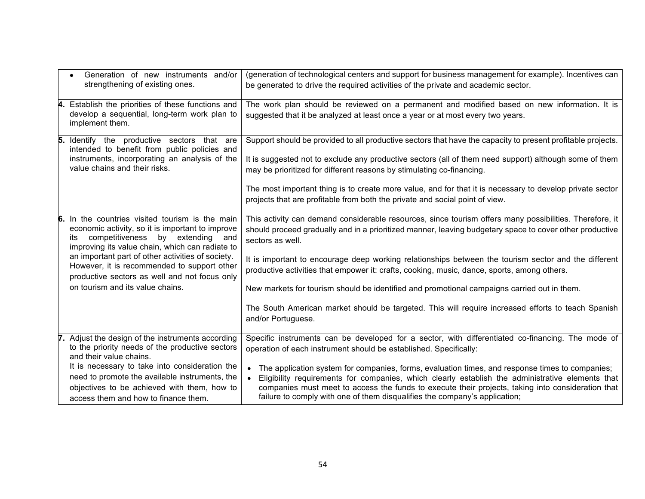|    | Generation of new instruments and/or<br>strengthening of existing ones.                                                                                                                                                                                                                                                                                                                 | (generation of technological centers and support for business management for example). Incentives can<br>be generated to drive the required activities of the private and academic sector.                                                                                                                                                                                                                                                                                                                                                                                                                                                                               |
|----|-----------------------------------------------------------------------------------------------------------------------------------------------------------------------------------------------------------------------------------------------------------------------------------------------------------------------------------------------------------------------------------------|--------------------------------------------------------------------------------------------------------------------------------------------------------------------------------------------------------------------------------------------------------------------------------------------------------------------------------------------------------------------------------------------------------------------------------------------------------------------------------------------------------------------------------------------------------------------------------------------------------------------------------------------------------------------------|
| Α. | Establish the priorities of these functions and<br>develop a sequential, long-term work plan to<br>implement them.                                                                                                                                                                                                                                                                      | The work plan should be reviewed on a permanent and modified based on new information. It is<br>suggested that it be analyzed at least once a year or at most every two years.                                                                                                                                                                                                                                                                                                                                                                                                                                                                                           |
| 5. | Identify the productive sectors that are<br>intended to benefit from public policies and<br>instruments, incorporating an analysis of the<br>value chains and their risks.                                                                                                                                                                                                              | Support should be provided to all productive sectors that have the capacity to present profitable projects.<br>It is suggested not to exclude any productive sectors (all of them need support) although some of them<br>may be prioritized for different reasons by stimulating co-financing.<br>The most important thing is to create more value, and for that it is necessary to develop private sector<br>projects that are profitable from both the private and social point of view.                                                                                                                                                                               |
| 6. | In the countries visited tourism is the main<br>economic activity, so it is important to improve<br>competitiveness by extending and<br>its<br>improving its value chain, which can radiate to<br>an important part of other activities of society.<br>However, it is recommended to support other<br>productive sectors as well and not focus only<br>on tourism and its value chains. | This activity can demand considerable resources, since tourism offers many possibilities. Therefore, it<br>should proceed gradually and in a prioritized manner, leaving budgetary space to cover other productive<br>sectors as well.<br>It is important to encourage deep working relationships between the tourism sector and the different<br>productive activities that empower it: crafts, cooking, music, dance, sports, among others.<br>New markets for tourism should be identified and promotional campaigns carried out in them.<br>The South American market should be targeted. This will require increased efforts to teach Spanish<br>and/or Portuguese. |
|    | Adjust the design of the instruments according<br>to the priority needs of the productive sectors<br>and their value chains.<br>It is necessary to take into consideration the<br>need to promote the available instruments, the<br>objectives to be achieved with them, how to<br>access them and how to finance them.                                                                 | Specific instruments can be developed for a sector, with differentiated co-financing. The mode of<br>operation of each instrument should be established. Specifically:<br>The application system for companies, forms, evaluation times, and response times to companies;<br>Eligibility requirements for companies, which clearly establish the administrative elements that<br>companies must meet to access the funds to execute their projects, taking into consideration that<br>failure to comply with one of them disqualifies the company's application;                                                                                                         |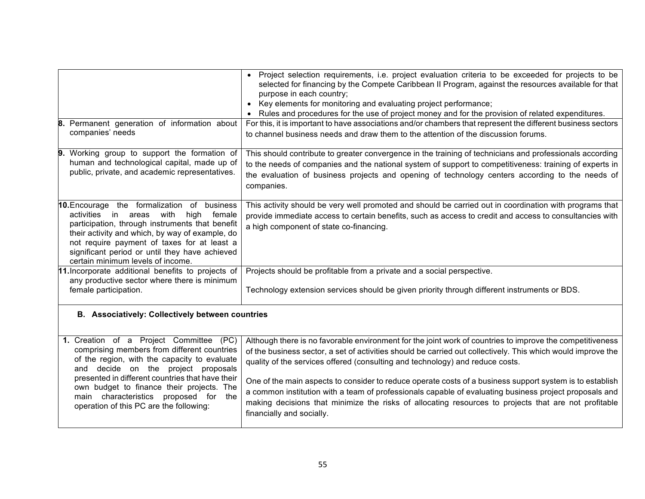| Permanent generation of information about<br>8.<br>companies' needs                                                                                                                                                                                                                                                                                                | • Project selection requirements, i.e. project evaluation criteria to be exceeded for projects to be<br>selected for financing by the Compete Caribbean II Program, against the resources available for that<br>purpose in each country;<br>Key elements for monitoring and evaluating project performance;<br>Rules and procedures for the use of project money and for the provision of related expenditures.<br>For this, it is important to have associations and/or chambers that represent the different business sectors<br>to channel business needs and draw them to the attention of the discussion forums.                                                 |
|--------------------------------------------------------------------------------------------------------------------------------------------------------------------------------------------------------------------------------------------------------------------------------------------------------------------------------------------------------------------|-----------------------------------------------------------------------------------------------------------------------------------------------------------------------------------------------------------------------------------------------------------------------------------------------------------------------------------------------------------------------------------------------------------------------------------------------------------------------------------------------------------------------------------------------------------------------------------------------------------------------------------------------------------------------|
| Working group to support the formation of<br>9.<br>human and technological capital, made up of<br>public, private, and academic representatives.                                                                                                                                                                                                                   | This should contribute to greater convergence in the training of technicians and professionals according<br>to the needs of companies and the national system of support to competitiveness: training of experts in<br>the evaluation of business projects and opening of technology centers according to the needs of<br>companies.                                                                                                                                                                                                                                                                                                                                  |
| 10. Encourage the formalization of business<br>activities<br>with<br>female<br>in<br>areas<br>high<br>participation, through instruments that benefit<br>their activity and which, by way of example, do<br>not require payment of taxes for at least a<br>significant period or until they have achieved<br>certain minimum levels of income.                     | This activity should be very well promoted and should be carried out in coordination with programs that<br>provide immediate access to certain benefits, such as access to credit and access to consultancies with<br>a high component of state co-financing.                                                                                                                                                                                                                                                                                                                                                                                                         |
| 11. Incorporate additional benefits to projects of<br>any productive sector where there is minimum<br>female participation.                                                                                                                                                                                                                                        | Projects should be profitable from a private and a social perspective.<br>Technology extension services should be given priority through different instruments or BDS.                                                                                                                                                                                                                                                                                                                                                                                                                                                                                                |
| <b>B.</b> Associatively: Collectively between countries                                                                                                                                                                                                                                                                                                            |                                                                                                                                                                                                                                                                                                                                                                                                                                                                                                                                                                                                                                                                       |
| 1. Creation of a Project Committee (PC)<br>comprising members from different countries<br>of the region, with the capacity to evaluate<br>and decide on the project proposals<br>presented in different countries that have their<br>own budget to finance their projects. The<br>main characteristics proposed for the<br>operation of this PC are the following: | Although there is no favorable environment for the joint work of countries to improve the competitiveness<br>of the business sector, a set of activities should be carried out collectively. This which would improve the<br>quality of the services offered (consulting and technology) and reduce costs.<br>One of the main aspects to consider to reduce operate costs of a business support system is to establish<br>a common institution with a team of professionals capable of evaluating business project proposals and<br>making decisions that minimize the risks of allocating resources to projects that are not profitable<br>financially and socially. |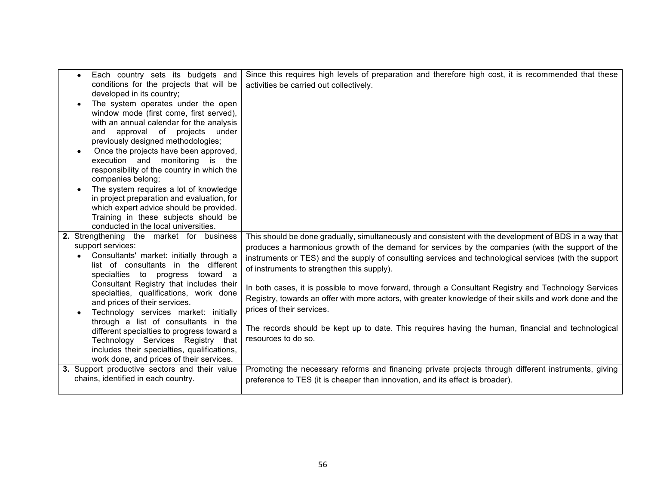| Each country sets its budgets and<br>$\bullet$<br>conditions for the projects that will be<br>developed in its country;<br>The system operates under the open<br>window mode (first come, first served),<br>with an annual calendar for the analysis<br>approval of projects<br>under<br>and<br>previously designed methodologies;<br>Once the projects have been approved,<br>execution and monitoring is the<br>responsibility of the country in which the<br>companies belong;<br>The system requires a lot of knowledge<br>in project preparation and evaluation, for<br>which expert advice should be provided.<br>Training in these subjects should be        | Since this requires high levels of preparation and therefore high cost, it is recommended that these<br>activities be carried out collectively.                                                                                                                                                                                                                                                                                                                                                                                                                                                                                                                                                                                                                                                                                                            |
|---------------------------------------------------------------------------------------------------------------------------------------------------------------------------------------------------------------------------------------------------------------------------------------------------------------------------------------------------------------------------------------------------------------------------------------------------------------------------------------------------------------------------------------------------------------------------------------------------------------------------------------------------------------------|------------------------------------------------------------------------------------------------------------------------------------------------------------------------------------------------------------------------------------------------------------------------------------------------------------------------------------------------------------------------------------------------------------------------------------------------------------------------------------------------------------------------------------------------------------------------------------------------------------------------------------------------------------------------------------------------------------------------------------------------------------------------------------------------------------------------------------------------------------|
| conducted in the local universities.<br>2. Strengthening the market for business<br>support services:<br>Consultants' market: initially through a<br>list of consultants in the different<br>specialties to progress toward a<br>Consultant Registry that includes their<br>specialties, qualifications, work done<br>and prices of their services.<br>Technology services market: initially<br>through a list of consultants in the<br>different specialties to progress toward a<br>Technology Services Registry that<br>includes their specialties, qualifications,<br>work done, and prices of their services.<br>3. Support productive sectors and their value | This should be done gradually, simultaneously and consistent with the development of BDS in a way that<br>produces a harmonious growth of the demand for services by the companies (with the support of the<br>instruments or TES) and the supply of consulting services and technological services (with the support<br>of instruments to strengthen this supply).<br>In both cases, it is possible to move forward, through a Consultant Registry and Technology Services<br>Registry, towards an offer with more actors, with greater knowledge of their skills and work done and the<br>prices of their services.<br>The records should be kept up to date. This requires having the human, financial and technological<br>resources to do so.<br>Promoting the necessary reforms and financing private projects through different instruments, giving |
| chains, identified in each country.                                                                                                                                                                                                                                                                                                                                                                                                                                                                                                                                                                                                                                 | preference to TES (it is cheaper than innovation, and its effect is broader).                                                                                                                                                                                                                                                                                                                                                                                                                                                                                                                                                                                                                                                                                                                                                                              |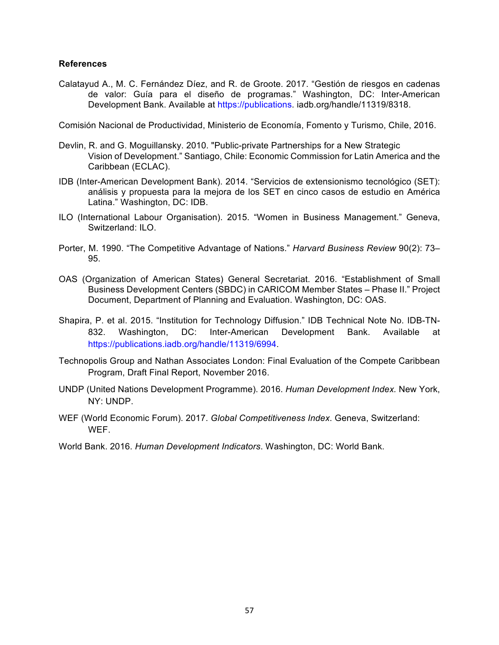#### **References**

Calatayud A., M. C. Fernández Díez, and R. de Groote. 2017. "Gestión de riesgos en cadenas de valor: Guía para el diseño de programas." Washington, DC: Inter-American Development Bank. Available at https://publications. iadb.org/handle/11319/8318.

Comisión Nacional de Productividad, Ministerio de Economía, Fomento y Turismo, Chile, 2016.

- Devlin, R. and G. Moguillansky. 2010. "Public-private Partnerships for a New Strategic Vision of Development." Santiago, Chile: Economic Commission for Latin America and the Caribbean (ECLAC).
- IDB (Inter-American Development Bank). 2014. "Servicios de extensionismo tecnológico (SET): análisis y propuesta para la mejora de los SET en cinco casos de estudio en América Latina." Washington, DC: IDB.
- ILO (International Labour Organisation). 2015. "Women in Business Management." Geneva, Switzerland: ILO.
- Porter, M. 1990. "The Competitive Advantage of Nations." *Harvard Business Review* 90(2): 73– 95.
- OAS (Organization of American States) General Secretariat. 2016. "Establishment of Small Business Development Centers (SBDC) in CARICOM Member States – Phase II." Project Document, Department of Planning and Evaluation. Washington, DC: OAS.
- Shapira, P. et al. 2015. "Institution for Technology Diffusion." IDB Technical Note No. IDB-TN-832. Washington, DC: Inter-American Development Bank. Available at https://publications.iadb.org/handle/11319/6994.
- Technopolis Group and Nathan Associates London: Final Evaluation of the Compete Caribbean Program, Draft Final Report, November 2016.
- UNDP (United Nations Development Programme). 2016. *Human Development Index.* New York, NY: UNDP.
- WEF (World Economic Forum). 2017. Global Competitiveness Index. Geneva, Switzerland: WEF.
- World Bank. 2016. *Human Development Indicators*. Washington, DC: World Bank.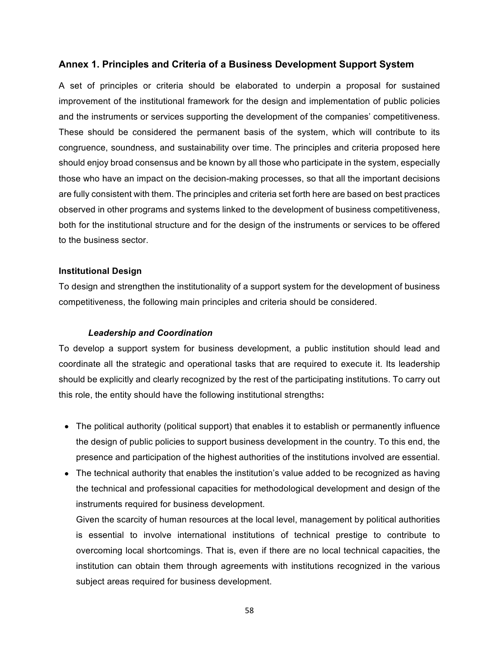## Annex 1. Principles and Criteria of a Business Development Support System

A set of principles or criteria should be elaborated to underpin a proposal for sustained improvement of the institutional framework for the design and implementation of public policies and the instruments or services supporting the development of the companies' competitiveness. These should be considered the permanent basis of the system, which will contribute to its congruence, soundness, and sustainability over time. The principles and criteria proposed here should enjoy broad consensus and be known by all those who participate in the system, especially those who have an impact on the decision-making processes, so that all the important decisions are fully consistent with them. The principles and criteria set forth here are based on best practices observed in other programs and systems linked to the development of business competitiveness, both for the institutional structure and for the design of the instruments or services to be offered to the business sector.

## **Institutional Design**

To design and strengthen the institutionality of a support system for the development of business competitiveness, the following main principles and criteria should be considered.

## *Leadership\*and\*Coordination*

To develop a support system for business development, a public institution should lead and coordinate all the strategic and operational tasks that are required to execute it. Its leadership should be explicitly and clearly recognized by the rest of the participating institutions. To carry out this role, the entity should have the following institutional strengths:

- The political authority (political support) that enables it to establish or permanently influence the design of public policies to support business development in the country. To this end, the presence and participation of the highest authorities of the institutions involved are essential.
- The technical authority that enables the institution's value added to be recognized as having the technical and professional capacities for methodological development and design of the instruments required for business development.

Given the scarcity of human resources at the local level, management by political authorities is essential to involve international institutions of technical prestige to contribute to overcoming local shortcomings. That is, even if there are no local technical capacities, the institution can obtain them through agreements with institutions recognized in the various subject areas required for business development.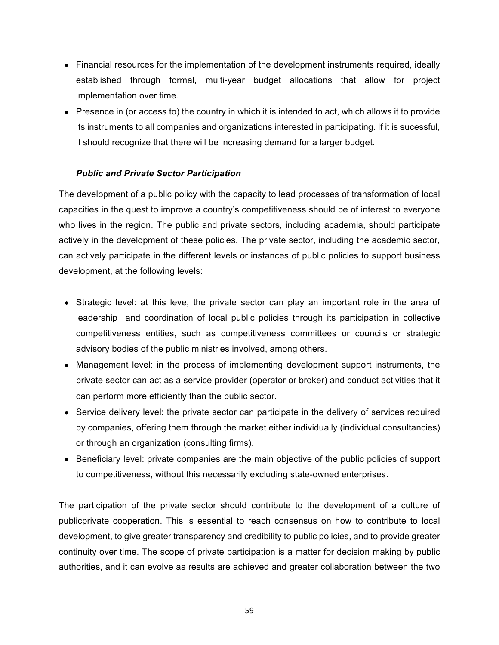- Financial resources for the implementation of the development instruments required, ideally established through formal, multi-year budget allocations that allow for project implementation over time.
- Presence in (or access to) the country in which it is intended to act, which allows it to provide its instruments to all companies and organizations interested in participating. If it is sucessful, it should recognize that there will be increasing demand for a larger budget.

## *Public\*and\*Private\*Sector\*Participation*

The development of a public policy with the capacity to lead processes of transformation of local capacities in the quest to improve a country's competitiveness should be of interest to everyone who lives in the region. The public and private sectors, including academia, should participate actively in the development of these policies. The private sector, including the academic sector, can actively participate in the different levels or instances of public policies to support business development, at the following levels:

- Strategic level: at this leve, the private sector can play an important role in the area of leadership and coordination of local public policies through its participation in collective competitiveness entities, such as competitiveness committees or councils or strategic advisory bodies of the public ministries involved, among others.
- Management level: in the process of implementing development support instruments, the private sector can act as a service provider (operator or broker) and conduct activities that it can perform more efficiently than the public sector.
- Service delivery level: the private sector can participate in the delivery of services required by companies, offering them through the market either individually (individual consultancies) or through an organization (consulting firms).
- Beneficiary level: private companies are the main objective of the public policies of support to competitiveness, without this necessarily excluding state-owned enterprises.

The participation of the private sector should contribute to the development of a culture of publicprivate cooperation. This is essential to reach consensus on how to contribute to local development, to give greater transparency and credibility to public policies, and to provide greater continuity over time. The scope of private participation is a matter for decision making by public authorities, and it can evolve as results are achieved and greater collaboration between the two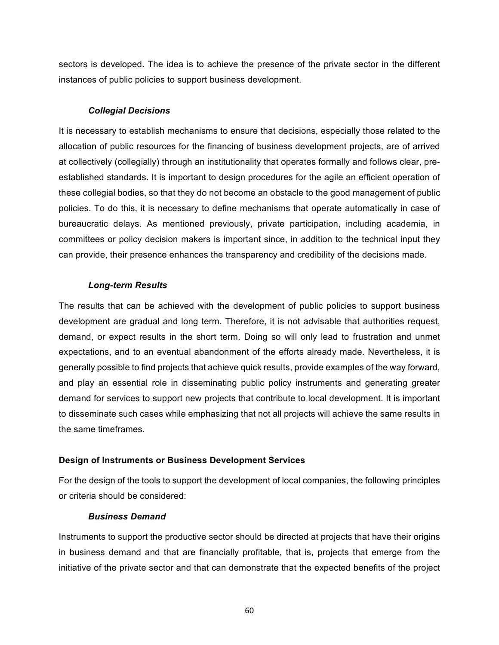sectors is developed. The idea is to achieve the presence of the private sector in the different instances of public policies to support business development.

## *Collegial\*Decisions*

It is necessary to establish mechanisms to ensure that decisions, especially those related to the allocation of public resources for the financing of business development projects, are of arrived at collectively (collegially) through an institutionality that operates formally and follows clear, preestablished standards. It is important to design procedures for the agile an efficient operation of these collegial bodies, so that they do not become an obstacle to the good management of public policies. To do this, it is necessary to define mechanisms that operate automatically in case of bureaucratic delays. As mentioned previously, private participation, including academia, in committees or policy decision makers is important since, in addition to the technical input they can provide, their presence enhances the transparency and credibility of the decisions made.

#### **Long-term Results**

The results that can be achieved with the development of public policies to support business development are gradual and long term. Therefore, it is not advisable that authorities request, demand, or expect results in the short term. Doing so will only lead to frustration and unmet expectations, and to an eventual abandonment of the efforts already made. Nevertheless, it is generally possible to find projects that achieve quick results, provide examples of the way forward, and play an essential role in disseminating public policy instruments and generating greater demand for services to support new projects that contribute to local development. It is important to disseminate such cases while emphasizing that not all projects will achieve the same results in the same timeframes.

## **Design of Instruments or Business Development Services**

For the design of the tools to support the development of local companies, the following principles or criteria should be considered:

#### *Business\*Demand*

Instruments to support the productive sector should be directed at projects that have their origins in business demand and that are financially profitable, that is, projects that emerge from the initiative of the private sector and that can demonstrate that the expected benefits of the project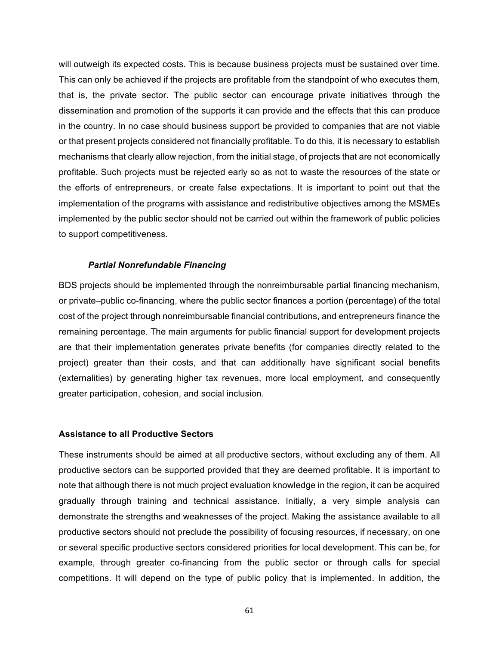will outweigh its expected costs. This is because business projects must be sustained over time. This can only be achieved if the projects are profitable from the standpoint of who executes them, that is, the private sector. The public sector can encourage private initiatives through the dissemination and promotion of the supports it can provide and the effects that this can produce in the country. In no case should business support be provided to companies that are not viable or that present projects considered not financially profitable. To do this, it is necessary to establish mechanisms that clearly allow rejection, from the initial stage, of projects that are not economically profitable. Such projects must be rejected early so as not to waste the resources of the state or the efforts of entrepreneurs, or create false expectations. It is important to point out that the implementation of the programs with assistance and redistributive objectives among the MSMEs implemented by the public sector should not be carried out within the framework of public policies to support competitiveness.

#### *Partial\*Nonrefundable\*Financing*

BDS projects should be implemented through the nonreimbursable partial financing mechanism, or private–public co-financing, where the public sector finances a portion (percentage) of the total cost of the project through nonreimbursable financial contributions, and entrepreneurs finance the remaining percentage. The main arguments for public financial support for development projects are that their implementation generates private benefits (for companies directly related to the project) greater than their costs, and that can additionally have significant social benefits (externalities) by generating higher tax revenues, more local employment, and consequently greater participation, cohesion, and social inclusion.

#### **Assistance to all Productive Sectors**

These instruments should be aimed at all productive sectors, without excluding any of them. All productive sectors can be supported provided that they are deemed profitable. It is important to note that although there is not much project evaluation knowledge in the region, it can be acquired gradually through training and technical assistance. Initially, a very simple analysis can demonstrate the strengths and weaknesses of the project. Making the assistance available to all productive sectors should not preclude the possibility of focusing resources, if necessary, on one or several specific productive sectors considered priorities for local development. This can be, for example, through greater co-financing from the public sector or through calls for special competitions. It will depend on the type of public policy that is implemented. In addition, the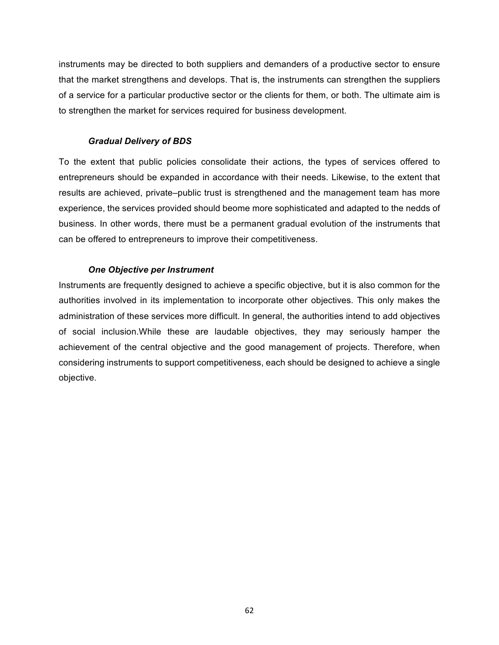instruments may be directed to both suppliers and demanders of a productive sector to ensure that the market strengthens and develops. That is, the instruments can strengthen the suppliers of a service for a particular productive sector or the clients for them, or both. The ultimate aim is to strengthen the market for services required for business development.

## *Gradual\*Delivery\*of\*BDS*

To the extent that public policies consolidate their actions, the types of services offered to entrepreneurs should be expanded in accordance with their needs. Likewise, to the extent that results are achieved, private–public trust is strengthened and the management team has more experience, the services provided should beome more sophisticated and adapted to the nedds of business. In other words, there must be a permanent gradual evolution of the instruments that can be offered to entrepreneurs to improve their competitiveness.

## *One\*Objective per\*Instrument*

Instruments are frequently designed to achieve a specific objective, but it is also common for the authorities involved in its implementation to incorporate other objectives. This only makes the administration of these services more difficult. In general, the authorities intend to add objectives of social inclusion. While these are laudable objectives, they may seriously hamper the achievement of the central objective and the good management of projects. Therefore, when considering instruments to support competitiveness, each should be designed to achieve a single objective.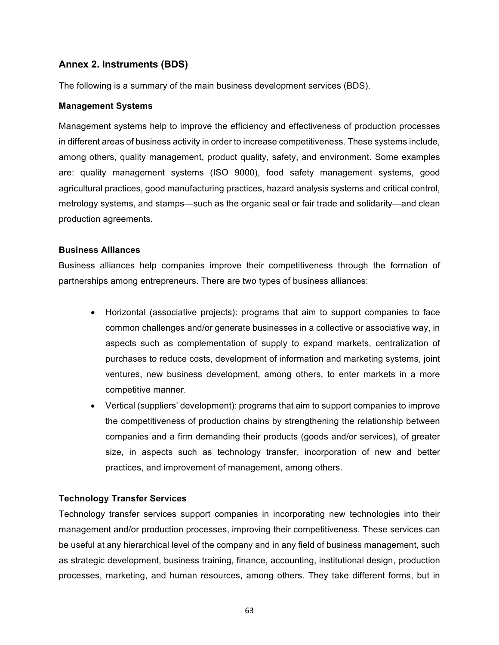# Annex 2. Instruments (BDS)

The following is a summary of the main business development services (BDS).

## **Management Systems**

Management systems help to improve the efficiency and effectiveness of production processes in different areas of business activity in order to increase competitiveness. These systems include, among others, quality management, product quality, safety, and environment. Some examples are: quality management systems (ISO 9000), food safety management systems, good agricultural practices, good manufacturing practices, hazard analysis systems and critical control, metrology systems, and stamps—such as the organic seal or fair trade and solidarity—and clean production agreements.

## **Business(Alliances**

Business alliances help companies improve their competitiveness through the formation of partnerships among entrepreneurs. There are two types of business alliances:

- Horizontal (associative projects): programs that aim to support companies to face common challenges and/or generate businesses in a collective or associative way, in aspects such as complementation of supply to expand markets, centralization of purchases to reduce costs, development of information and marketing systems, joint ventures, new business development, among others, to enter markets in a more competitive manner.
- Vertical (suppliers' development): programs that aim to support companies to improve the competitiveness of production chains by strengthening the relationship between companies and a firm demanding their products (goods and/or services), of greater size, in aspects such as technology transfer, incorporation of new and better practices, and improvement of management, among others.

## **Technology Transfer Services**

Technology transfer services support companies in incorporating new technologies into their management and/or production processes, improving their competitiveness. These services can be useful at any hierarchical level of the company and in any field of business management, such as strategic development, business training, finance, accounting, institutional design, production processes, marketing, and human resources, among others. They take different forms, but in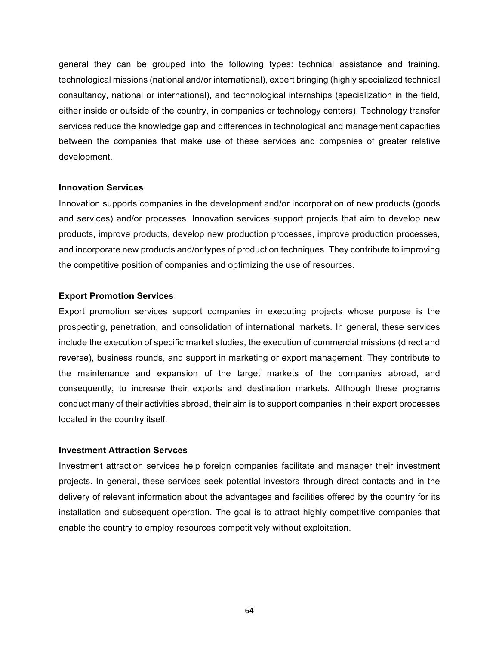general they can be grouped into the following types: technical assistance and training, technological missions (national and/or international), expert bringing (highly specialized technical consultancy, national or international), and technological internships (specialization in the field, either inside or outside of the country, in companies or technology centers). Technology transfer services reduce the knowledge gap and differences in technological and management capacities between the companies that make use of these services and companies of greater relative development.

#### **Innovation Services**

Innovation supports companies in the development and/or incorporation of new products (goods) and services) and/or processes. Innovation services support projects that aim to develop new products, improve products, develop new production processes, improve production processes, and incorporate new products and/or types of production techniques. They contribute to improving the competitive position of companies and optimizing the use of resources.

## **Export Promotion Services**

Export promotion services support companies in executing projects whose purpose is the prospecting, penetration, and consolidation of international markets. In general, these services include the execution of specific market studies, the execution of commercial missions (direct and reverse), business rounds, and support in marketing or export management. They contribute to the maintenance and expansion of the target markets of the companies abroad, and consequently, to increase their exports and destination markets. Although these programs conduct many of their activities abroad, their aim is to support companies in their export processes located in the country itself.

## **Investment Attraction Servces**

Investment attraction services help foreign companies facilitate and manager their investment projects. In general, these services seek potential investors through direct contacts and in the delivery of relevant information about the advantages and facilities offered by the country for its installation and subsequent operation. The goal is to attract highly competitive companies that enable the country to employ resources competitively without exploitation.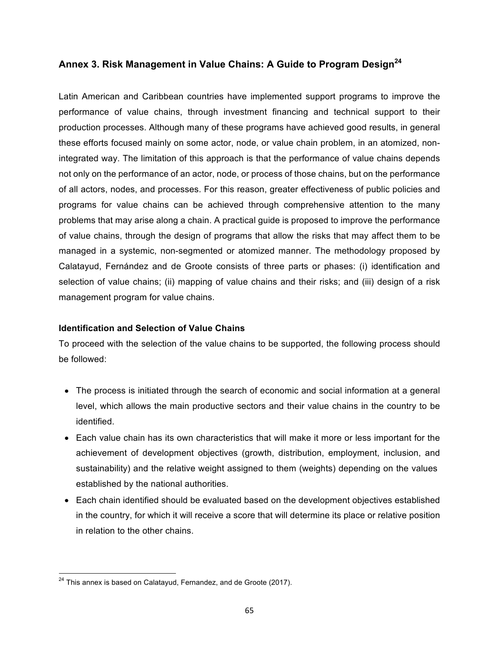# Annex 3. Risk Management in Value Chains: A Guide to Program Design<sup>24</sup>

Latin American and Caribbean countries have implemented support programs to improve the performance of value chains, through investment financing and technical support to their production processes. Although many of these programs have achieved good results, in general these efforts focused mainly on some actor, node, or value chain problem, in an atomized, nonintegrated way. The limitation of this approach is that the performance of value chains depends not only on the performance of an actor, node, or process of those chains, but on the performance of all actors, nodes, and processes. For this reason, greater effectiveness of public policies and programs for value chains can be achieved through comprehensive attention to the many problems that may arise along a chain. A practical quide is proposed to improve the performance of value chains, through the design of programs that allow the risks that may affect them to be managed in a systemic, non-segmented or atomized manner. The methodology proposed by Calatayud, Fernández and de Groote consists of three parts or phases: (i) identification and selection of value chains; (ii) mapping of value chains and their risks; and (iii) design of a risk management program for value chains.

## **Identification and Selection of Value Chains**

To proceed with the selection of the value chains to be supported, the following process should be followed:

- The process is initiated through the search of economic and social information at a general level, which allows the main productive sectors and their value chains in the country to be identified.
- Each value chain has its own characteristics that will make it more or less important for the achievement of development objectives (growth, distribution, employment, inclusion, and sustainability) and the relative weight assigned to them (weights) depending on the values established by the national authorities.
- $\bullet$  Each chain identified should be evaluated based on the development objectives established in the country, for which it will receive a score that will determine its place or relative position in relation to the other chains.

 $24$  This annex is based on Calatayud, Fernandez, and de Groote (2017).